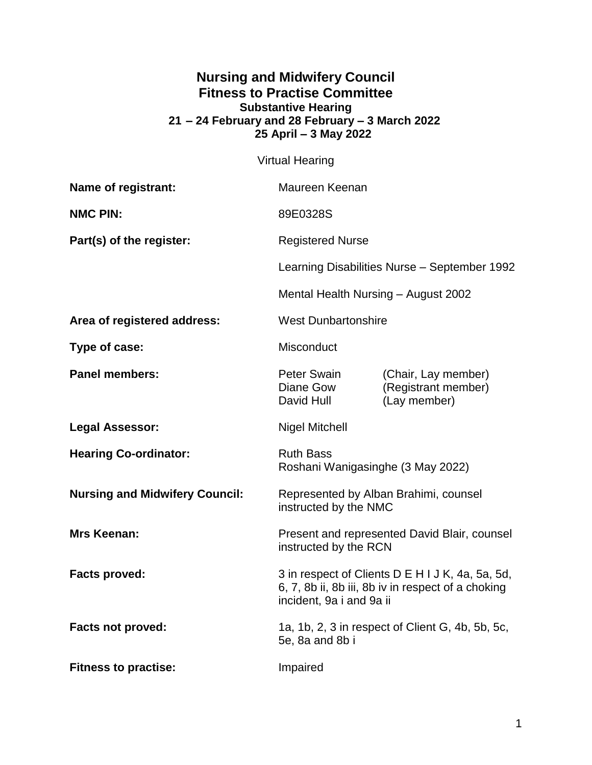## **Nursing and Midwifery Council Fitness to Practise Committee Substantive Hearing 21 – 24 February and 28 February – 3 March 2022 25 April – 3 May 2022**

Virtual Hearing

| <b>Name of registrant:</b>            | Maureen Keenan                                                                                                                     |                                                            |
|---------------------------------------|------------------------------------------------------------------------------------------------------------------------------------|------------------------------------------------------------|
| <b>NMC PIN:</b>                       | 89E0328S                                                                                                                           |                                                            |
| Part(s) of the register:              | <b>Registered Nurse</b><br>Learning Disabilities Nurse - September 1992                                                            |                                                            |
|                                       |                                                                                                                                    |                                                            |
|                                       | Mental Health Nursing - August 2002                                                                                                |                                                            |
| Area of registered address:           | <b>West Dunbartonshire</b>                                                                                                         |                                                            |
| Type of case:                         | Misconduct                                                                                                                         |                                                            |
| <b>Panel members:</b>                 | Peter Swain<br>Diane Gow<br>David Hull                                                                                             | (Chair, Lay member)<br>(Registrant member)<br>(Lay member) |
| <b>Legal Assessor:</b>                | <b>Nigel Mitchell</b>                                                                                                              |                                                            |
| <b>Hearing Co-ordinator:</b>          | <b>Ruth Bass</b><br>Roshani Wanigasinghe (3 May 2022)                                                                              |                                                            |
| <b>Nursing and Midwifery Council:</b> | Represented by Alban Brahimi, counsel<br>instructed by the NMC                                                                     |                                                            |
| <b>Mrs Keenan:</b>                    | Present and represented David Blair, counsel<br>instructed by the RCN                                                              |                                                            |
| <b>Facts proved:</b>                  | 3 in respect of Clients D E H I J K, 4a, 5a, 5d,<br>6, 7, 8b ii, 8b iii, 8b iv in respect of a choking<br>incident, 9a i and 9a ii |                                                            |
| <b>Facts not proved:</b>              | 1a, 1b, 2, 3 in respect of Client G, 4b, 5b, 5c,<br>5e, 8a and 8b i                                                                |                                                            |
| <b>Fitness to practise:</b>           | Impaired                                                                                                                           |                                                            |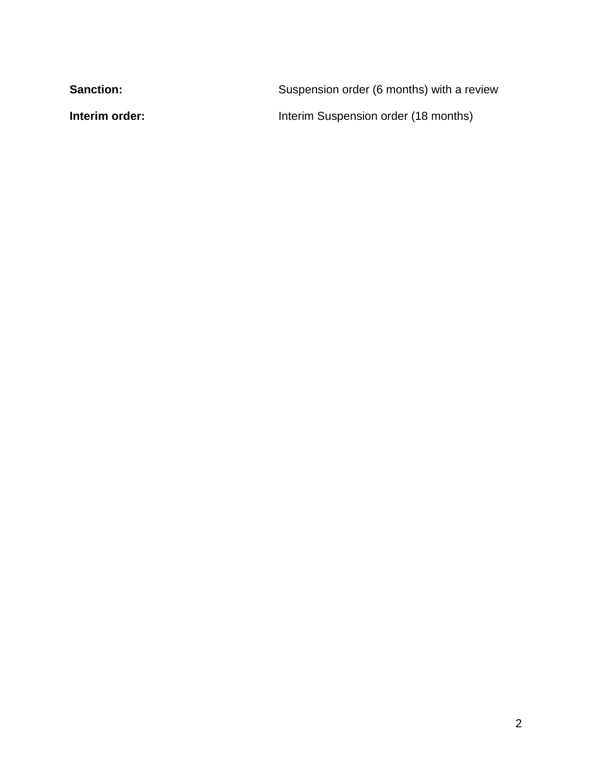| <b>Sanction:</b> | Suspension order (6 months) with a review |
|------------------|-------------------------------------------|
| Interim order:   | Interim Suspension order (18 months)      |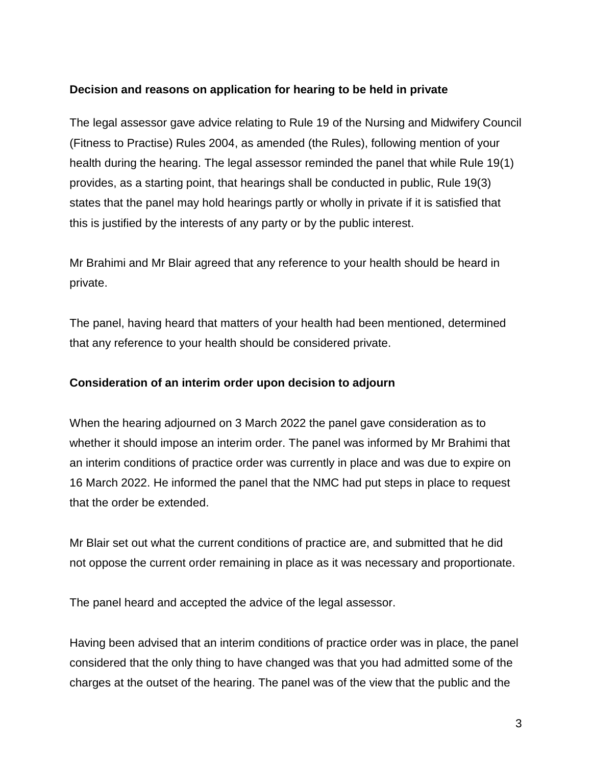#### **Decision and reasons on application for hearing to be held in private**

The legal assessor gave advice relating to Rule 19 of the Nursing and Midwifery Council (Fitness to Practise) Rules 2004, as amended (the Rules), following mention of your health during the hearing. The legal assessor reminded the panel that while Rule 19(1) provides, as a starting point, that hearings shall be conducted in public, Rule 19(3) states that the panel may hold hearings partly or wholly in private if it is satisfied that this is justified by the interests of any party or by the public interest.

Mr Brahimi and Mr Blair agreed that any reference to your health should be heard in private.

The panel, having heard that matters of your health had been mentioned, determined that any reference to your health should be considered private.

#### **Consideration of an interim order upon decision to adjourn**

When the hearing adjourned on 3 March 2022 the panel gave consideration as to whether it should impose an interim order. The panel was informed by Mr Brahimi that an interim conditions of practice order was currently in place and was due to expire on 16 March 2022. He informed the panel that the NMC had put steps in place to request that the order be extended.

Mr Blair set out what the current conditions of practice are, and submitted that he did not oppose the current order remaining in place as it was necessary and proportionate.

The panel heard and accepted the advice of the legal assessor.

Having been advised that an interim conditions of practice order was in place, the panel considered that the only thing to have changed was that you had admitted some of the charges at the outset of the hearing. The panel was of the view that the public and the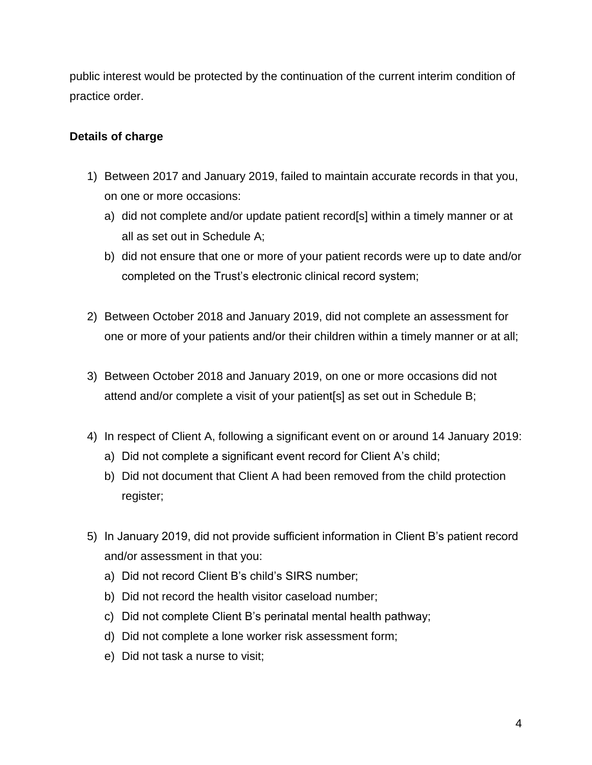public interest would be protected by the continuation of the current interim condition of practice order.

#### **Details of charge**

- 1) Between 2017 and January 2019, failed to maintain accurate records in that you, on one or more occasions:
	- a) did not complete and/or update patient record[s] within a timely manner or at all as set out in Schedule A;
	- b) did not ensure that one or more of your patient records were up to date and/or completed on the Trust's electronic clinical record system;
- 2) Between October 2018 and January 2019, did not complete an assessment for one or more of your patients and/or their children within a timely manner or at all;
- 3) Between October 2018 and January 2019, on one or more occasions did not attend and/or complete a visit of your patient[s] as set out in Schedule B;
- 4) In respect of Client A, following a significant event on or around 14 January 2019:
	- a) Did not complete a significant event record for Client A's child;
	- b) Did not document that Client A had been removed from the child protection register;
- 5) In January 2019, did not provide sufficient information in Client B's patient record and/or assessment in that you:
	- a) Did not record Client B's child's SIRS number;
	- b) Did not record the health visitor caseload number;
	- c) Did not complete Client B's perinatal mental health pathway;
	- d) Did not complete a lone worker risk assessment form;
	- e) Did not task a nurse to visit;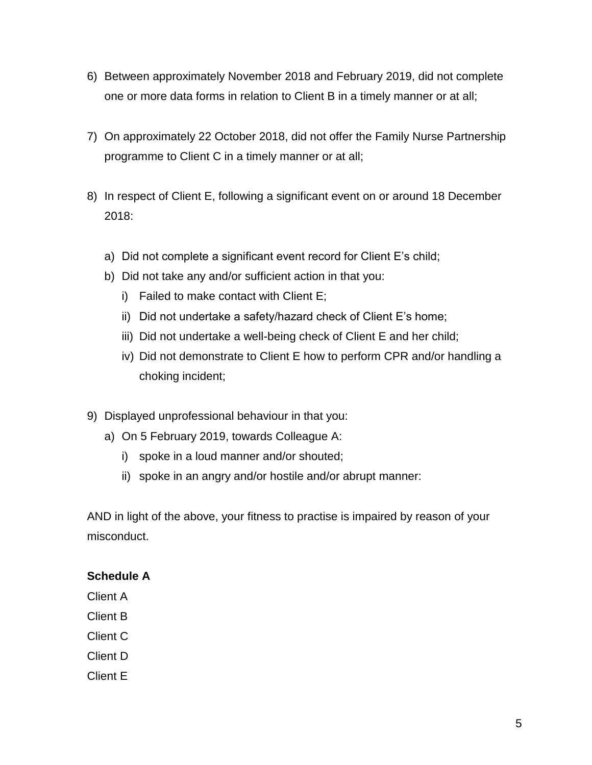- 6) Between approximately November 2018 and February 2019, did not complete one or more data forms in relation to Client B in a timely manner or at all;
- 7) On approximately 22 October 2018, did not offer the Family Nurse Partnership programme to Client C in a timely manner or at all;
- 8) In respect of Client E, following a significant event on or around 18 December 2018:
	- a) Did not complete a significant event record for Client E's child;
	- b) Did not take any and/or sufficient action in that you:
		- i) Failed to make contact with Client E;
		- ii) Did not undertake a safety/hazard check of Client E's home;
		- iii) Did not undertake a well-being check of Client E and her child;
		- iv) Did not demonstrate to Client E how to perform CPR and/or handling a choking incident;
- 9) Displayed unprofessional behaviour in that you:
	- a) On 5 February 2019, towards Colleague A:
		- i) spoke in a loud manner and/or shouted;
		- ii) spoke in an angry and/or hostile and/or abrupt manner:

AND in light of the above, your fitness to practise is impaired by reason of your misconduct.

#### **Schedule A**

Client A

Client B

Client C

Client D

Client E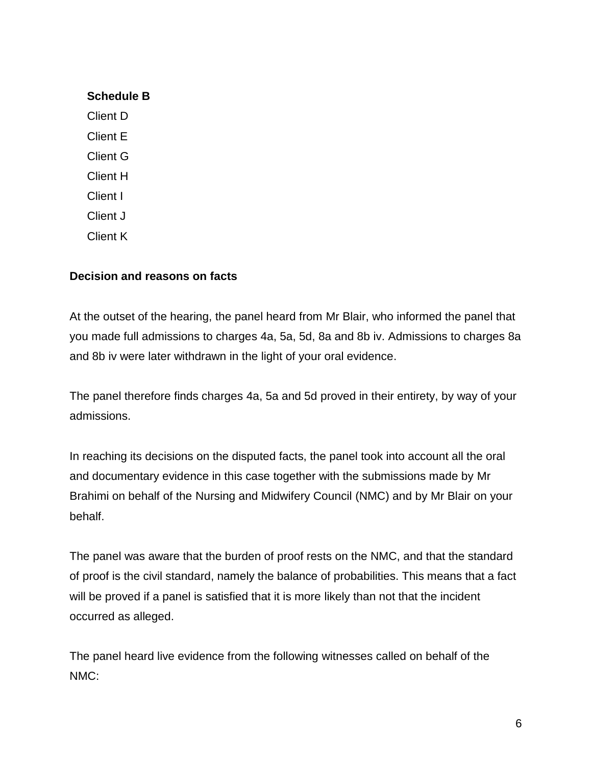#### **Schedule B**

Client D Client E Client G Client H Client I Client J Client K

#### **Decision and reasons on facts**

At the outset of the hearing, the panel heard from Mr Blair, who informed the panel that you made full admissions to charges 4a, 5a, 5d, 8a and 8b iv. Admissions to charges 8a and 8b iv were later withdrawn in the light of your oral evidence.

The panel therefore finds charges 4a, 5a and 5d proved in their entirety, by way of your admissions.

In reaching its decisions on the disputed facts, the panel took into account all the oral and documentary evidence in this case together with the submissions made by Mr Brahimi on behalf of the Nursing and Midwifery Council (NMC) and by Mr Blair on your behalf.

The panel was aware that the burden of proof rests on the NMC, and that the standard of proof is the civil standard, namely the balance of probabilities. This means that a fact will be proved if a panel is satisfied that it is more likely than not that the incident occurred as alleged.

The panel heard live evidence from the following witnesses called on behalf of the NMC: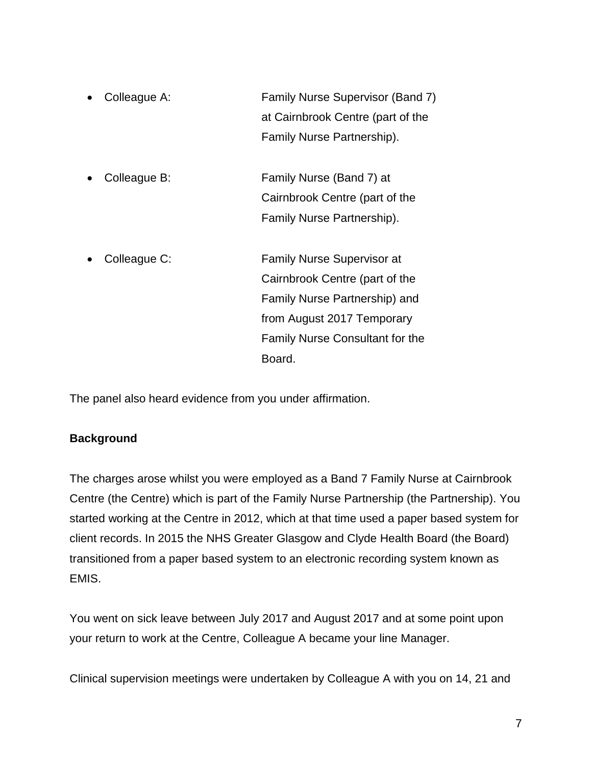- Colleague A: Family Nurse Supervisor (Band 7) at Cairnbrook Centre (part of the Family Nurse Partnership).
- Colleague B: Family Nurse (Band 7) at Cairnbrook Centre (part of the Family Nurse Partnership).
- Colleague C: Family Nurse Supervisor at Cairnbrook Centre (part of the Family Nurse Partnership) and from August 2017 Temporary Family Nurse Consultant for the Board.

The panel also heard evidence from you under affirmation.

## **Background**

The charges arose whilst you were employed as a Band 7 Family Nurse at Cairnbrook Centre (the Centre) which is part of the Family Nurse Partnership (the Partnership). You started working at the Centre in 2012, which at that time used a paper based system for client records. In 2015 the NHS Greater Glasgow and Clyde Health Board (the Board) transitioned from a paper based system to an electronic recording system known as EMIS.

You went on sick leave between July 2017 and August 2017 and at some point upon your return to work at the Centre, Colleague A became your line Manager.

Clinical supervision meetings were undertaken by Colleague A with you on 14, 21 and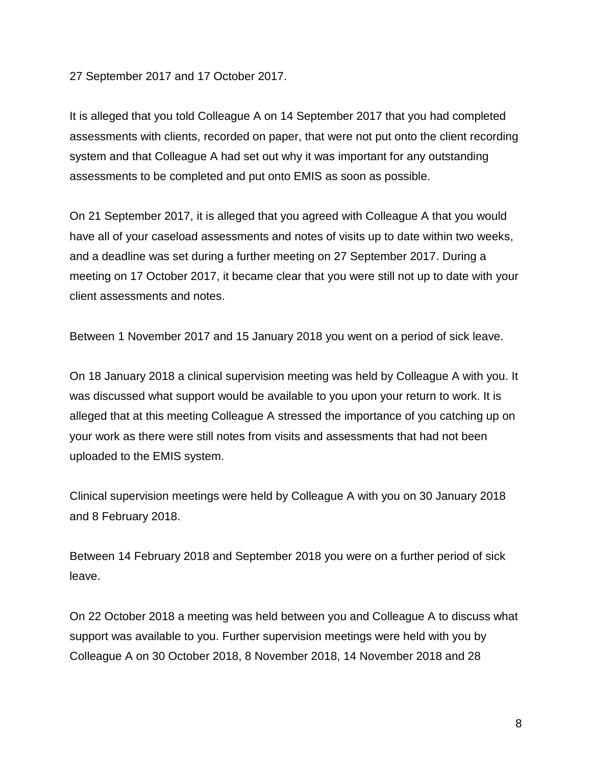27 September 2017 and 17 October 2017.

It is alleged that you told Colleague A on 14 September 2017 that you had completed assessments with clients, recorded on paper, that were not put onto the client recording system and that Colleague A had set out why it was important for any outstanding assessments to be completed and put onto EMIS as soon as possible.

On 21 September 2017, it is alleged that you agreed with Colleague A that you would have all of your caseload assessments and notes of visits up to date within two weeks, and a deadline was set during a further meeting on 27 September 2017. During a meeting on 17 October 2017, it became clear that you were still not up to date with your client assessments and notes.

Between 1 November 2017 and 15 January 2018 you went on a period of sick leave.

On 18 January 2018 a clinical supervision meeting was held by Colleague A with you. It was discussed what support would be available to you upon your return to work. It is alleged that at this meeting Colleague A stressed the importance of you catching up on your work as there were still notes from visits and assessments that had not been uploaded to the EMIS system.

Clinical supervision meetings were held by Colleague A with you on 30 January 2018 and 8 February 2018.

Between 14 February 2018 and September 2018 you were on a further period of sick leave.

On 22 October 2018 a meeting was held between you and Colleague A to discuss what support was available to you. Further supervision meetings were held with you by Colleague A on 30 October 2018, 8 November 2018, 14 November 2018 and 28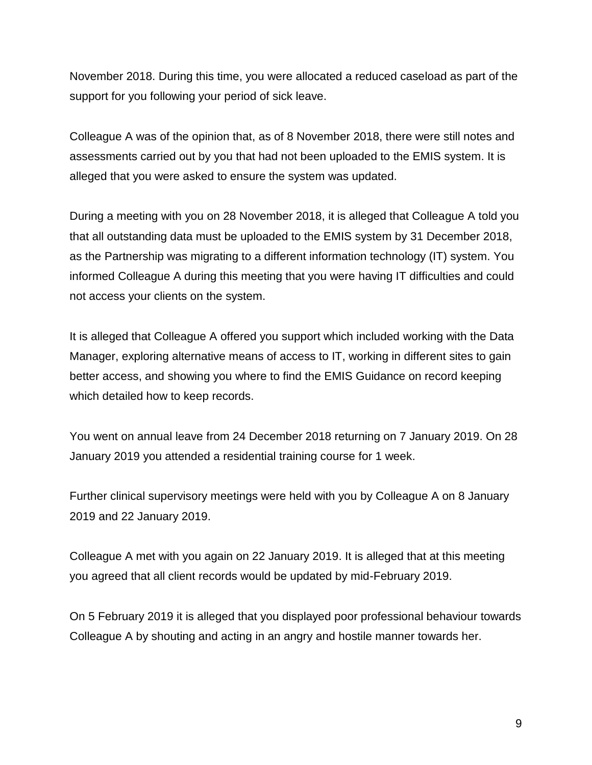November 2018. During this time, you were allocated a reduced caseload as part of the support for you following your period of sick leave.

Colleague A was of the opinion that, as of 8 November 2018, there were still notes and assessments carried out by you that had not been uploaded to the EMIS system. It is alleged that you were asked to ensure the system was updated.

During a meeting with you on 28 November 2018, it is alleged that Colleague A told you that all outstanding data must be uploaded to the EMIS system by 31 December 2018, as the Partnership was migrating to a different information technology (IT) system. You informed Colleague A during this meeting that you were having IT difficulties and could not access your clients on the system.

It is alleged that Colleague A offered you support which included working with the Data Manager, exploring alternative means of access to IT, working in different sites to gain better access, and showing you where to find the EMIS Guidance on record keeping which detailed how to keep records.

You went on annual leave from 24 December 2018 returning on 7 January 2019. On 28 January 2019 you attended a residential training course for 1 week.

Further clinical supervisory meetings were held with you by Colleague A on 8 January 2019 and 22 January 2019.

Colleague A met with you again on 22 January 2019. It is alleged that at this meeting you agreed that all client records would be updated by mid-February 2019.

On 5 February 2019 it is alleged that you displayed poor professional behaviour towards Colleague A by shouting and acting in an angry and hostile manner towards her.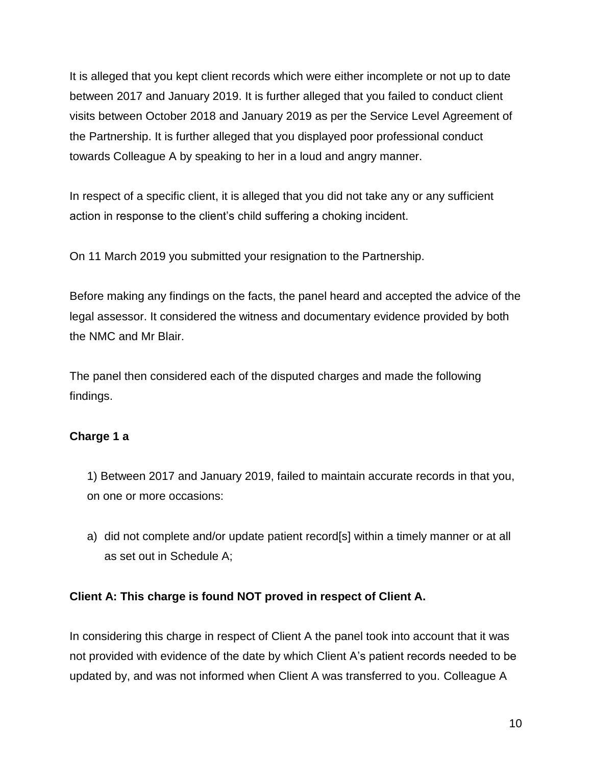It is alleged that you kept client records which were either incomplete or not up to date between 2017 and January 2019. It is further alleged that you failed to conduct client visits between October 2018 and January 2019 as per the Service Level Agreement of the Partnership. It is further alleged that you displayed poor professional conduct towards Colleague A by speaking to her in a loud and angry manner.

In respect of a specific client, it is alleged that you did not take any or any sufficient action in response to the client's child suffering a choking incident.

On 11 March 2019 you submitted your resignation to the Partnership.

Before making any findings on the facts, the panel heard and accepted the advice of the legal assessor. It considered the witness and documentary evidence provided by both the NMC and Mr Blair.

The panel then considered each of the disputed charges and made the following findings.

## **Charge 1 a**

1) Between 2017 and January 2019, failed to maintain accurate records in that you, on one or more occasions:

a) did not complete and/or update patient record[s] within a timely manner or at all as set out in Schedule A;

#### **Client A: This charge is found NOT proved in respect of Client A.**

In considering this charge in respect of Client A the panel took into account that it was not provided with evidence of the date by which Client A's patient records needed to be updated by, and was not informed when Client A was transferred to you. Colleague A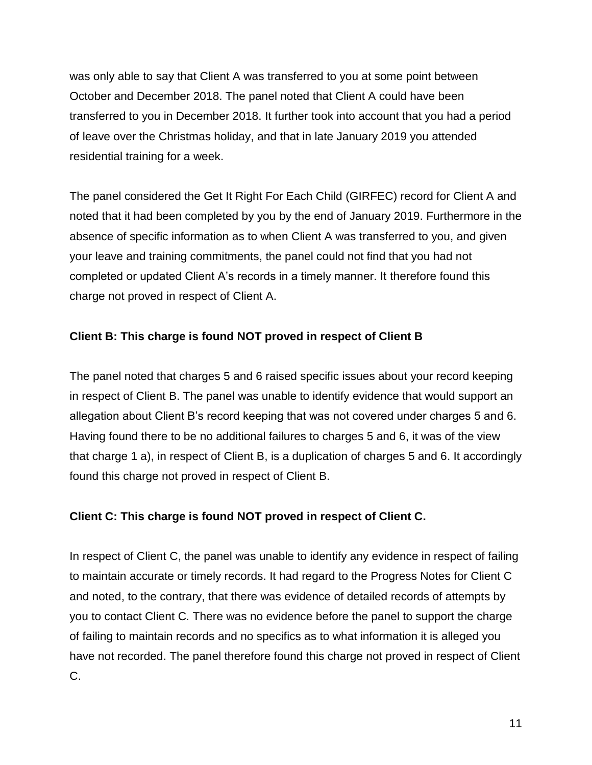was only able to say that Client A was transferred to you at some point between October and December 2018. The panel noted that Client A could have been transferred to you in December 2018. It further took into account that you had a period of leave over the Christmas holiday, and that in late January 2019 you attended residential training for a week.

The panel considered the Get It Right For Each Child (GIRFEC) record for Client A and noted that it had been completed by you by the end of January 2019. Furthermore in the absence of specific information as to when Client A was transferred to you, and given your leave and training commitments, the panel could not find that you had not completed or updated Client A's records in a timely manner. It therefore found this charge not proved in respect of Client A.

## **Client B: This charge is found NOT proved in respect of Client B**

The panel noted that charges 5 and 6 raised specific issues about your record keeping in respect of Client B. The panel was unable to identify evidence that would support an allegation about Client B's record keeping that was not covered under charges 5 and 6. Having found there to be no additional failures to charges 5 and 6, it was of the view that charge 1 a), in respect of Client B, is a duplication of charges 5 and 6. It accordingly found this charge not proved in respect of Client B.

## **Client C: This charge is found NOT proved in respect of Client C.**

In respect of Client C, the panel was unable to identify any evidence in respect of failing to maintain accurate or timely records. It had regard to the Progress Notes for Client C and noted, to the contrary, that there was evidence of detailed records of attempts by you to contact Client C. There was no evidence before the panel to support the charge of failing to maintain records and no specifics as to what information it is alleged you have not recorded. The panel therefore found this charge not proved in respect of Client C.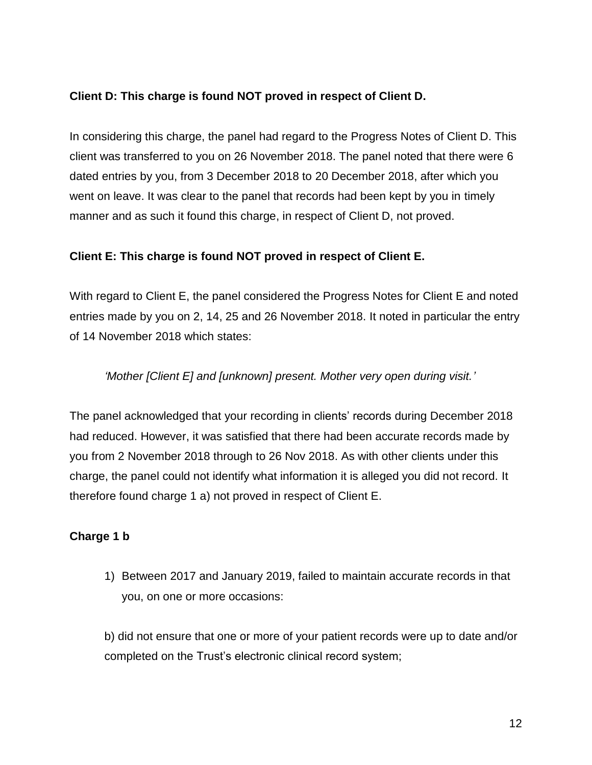### **Client D: This charge is found NOT proved in respect of Client D.**

In considering this charge, the panel had regard to the Progress Notes of Client D. This client was transferred to you on 26 November 2018. The panel noted that there were 6 dated entries by you, from 3 December 2018 to 20 December 2018, after which you went on leave. It was clear to the panel that records had been kept by you in timely manner and as such it found this charge, in respect of Client D, not proved.

#### **Client E: This charge is found NOT proved in respect of Client E.**

With regard to Client E, the panel considered the Progress Notes for Client E and noted entries made by you on 2, 14, 25 and 26 November 2018. It noted in particular the entry of 14 November 2018 which states:

*'Mother [Client E] and [unknown] present. Mother very open during visit.'*

The panel acknowledged that your recording in clients' records during December 2018 had reduced. However, it was satisfied that there had been accurate records made by you from 2 November 2018 through to 26 Nov 2018. As with other clients under this charge, the panel could not identify what information it is alleged you did not record. It therefore found charge 1 a) not proved in respect of Client E.

## **Charge 1 b**

1) Between 2017 and January 2019, failed to maintain accurate records in that you, on one or more occasions:

b) did not ensure that one or more of your patient records were up to date and/or completed on the Trust's electronic clinical record system;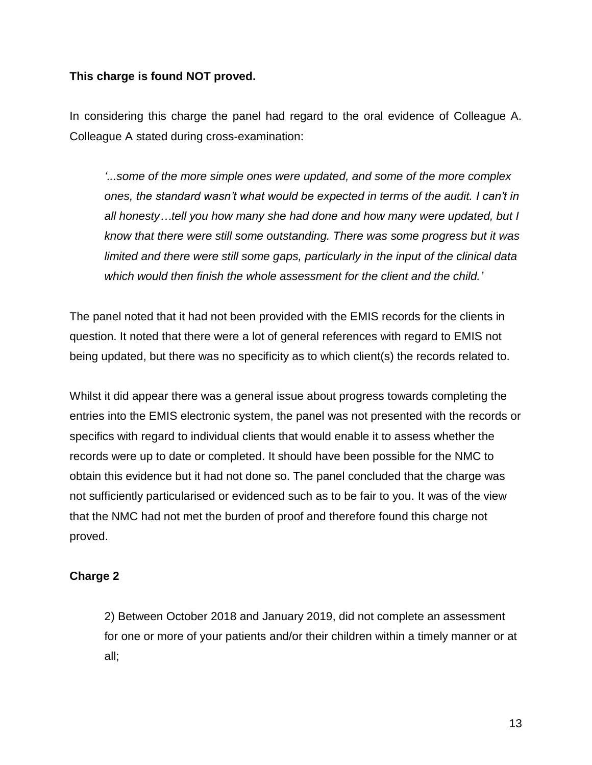#### **This charge is found NOT proved.**

In considering this charge the panel had regard to the oral evidence of Colleague A. Colleague A stated during cross-examination:

*'...some of the more simple ones were updated, and some of the more complex ones, the standard wasn't what would be expected in terms of the audit. I can't in all honesty…tell you how many she had done and how many were updated, but I know that there were still some outstanding. There was some progress but it was limited and there were still some gaps, particularly in the input of the clinical data which would then finish the whole assessment for the client and the child.'*

The panel noted that it had not been provided with the EMIS records for the clients in question. It noted that there were a lot of general references with regard to EMIS not being updated, but there was no specificity as to which client(s) the records related to.

Whilst it did appear there was a general issue about progress towards completing the entries into the EMIS electronic system, the panel was not presented with the records or specifics with regard to individual clients that would enable it to assess whether the records were up to date or completed. It should have been possible for the NMC to obtain this evidence but it had not done so. The panel concluded that the charge was not sufficiently particularised or evidenced such as to be fair to you. It was of the view that the NMC had not met the burden of proof and therefore found this charge not proved.

#### **Charge 2**

2) Between October 2018 and January 2019, did not complete an assessment for one or more of your patients and/or their children within a timely manner or at all;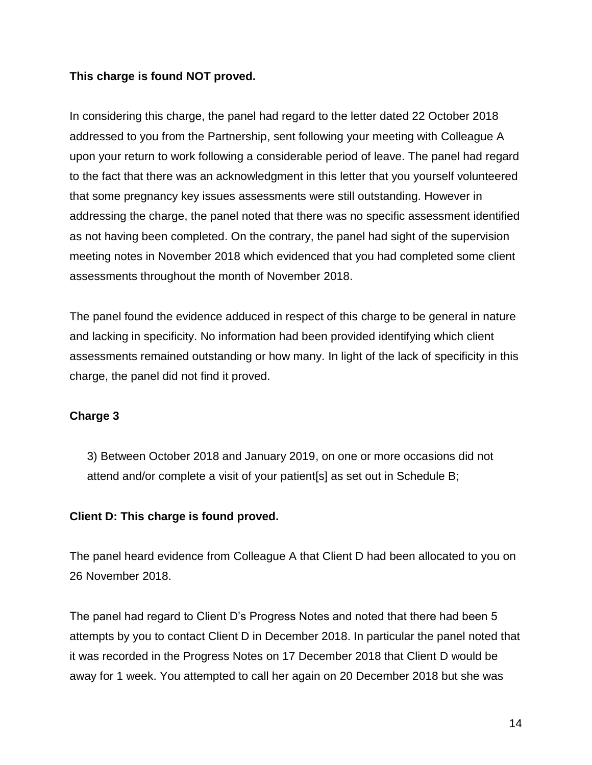#### **This charge is found NOT proved.**

In considering this charge, the panel had regard to the letter dated 22 October 2018 addressed to you from the Partnership, sent following your meeting with Colleague A upon your return to work following a considerable period of leave. The panel had regard to the fact that there was an acknowledgment in this letter that you yourself volunteered that some pregnancy key issues assessments were still outstanding. However in addressing the charge, the panel noted that there was no specific assessment identified as not having been completed. On the contrary, the panel had sight of the supervision meeting notes in November 2018 which evidenced that you had completed some client assessments throughout the month of November 2018.

The panel found the evidence adduced in respect of this charge to be general in nature and lacking in specificity. No information had been provided identifying which client assessments remained outstanding or how many. In light of the lack of specificity in this charge, the panel did not find it proved.

#### **Charge 3**

3) Between October 2018 and January 2019, on one or more occasions did not attend and/or complete a visit of your patient[s] as set out in Schedule B;

#### **Client D: This charge is found proved.**

The panel heard evidence from Colleague A that Client D had been allocated to you on 26 November 2018.

The panel had regard to Client D's Progress Notes and noted that there had been 5 attempts by you to contact Client D in December 2018. In particular the panel noted that it was recorded in the Progress Notes on 17 December 2018 that Client D would be away for 1 week. You attempted to call her again on 20 December 2018 but she was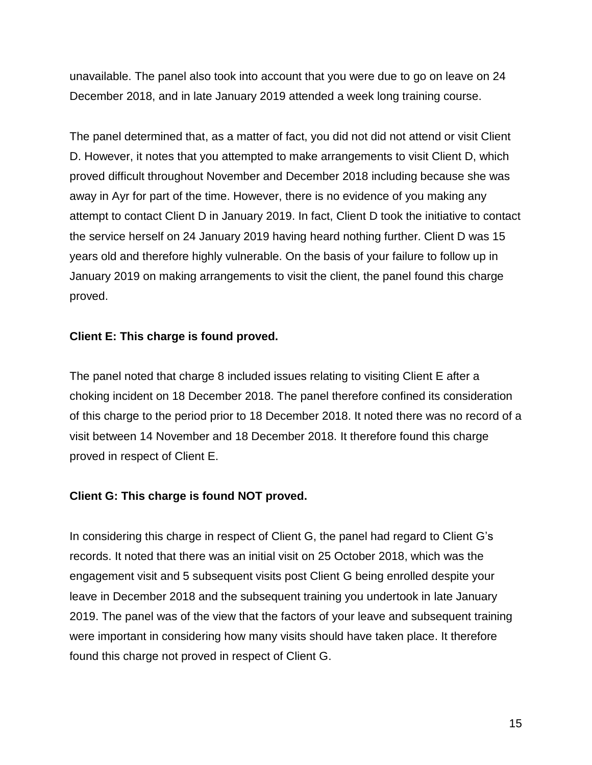unavailable. The panel also took into account that you were due to go on leave on 24 December 2018, and in late January 2019 attended a week long training course.

The panel determined that, as a matter of fact, you did not did not attend or visit Client D. However, it notes that you attempted to make arrangements to visit Client D, which proved difficult throughout November and December 2018 including because she was away in Ayr for part of the time. However, there is no evidence of you making any attempt to contact Client D in January 2019. In fact, Client D took the initiative to contact the service herself on 24 January 2019 having heard nothing further. Client D was 15 years old and therefore highly vulnerable. On the basis of your failure to follow up in January 2019 on making arrangements to visit the client, the panel found this charge proved.

#### **Client E: This charge is found proved.**

The panel noted that charge 8 included issues relating to visiting Client E after a choking incident on 18 December 2018. The panel therefore confined its consideration of this charge to the period prior to 18 December 2018. It noted there was no record of a visit between 14 November and 18 December 2018. It therefore found this charge proved in respect of Client E.

#### **Client G: This charge is found NOT proved.**

In considering this charge in respect of Client G, the panel had regard to Client G's records. It noted that there was an initial visit on 25 October 2018, which was the engagement visit and 5 subsequent visits post Client G being enrolled despite your leave in December 2018 and the subsequent training you undertook in late January 2019. The panel was of the view that the factors of your leave and subsequent training were important in considering how many visits should have taken place. It therefore found this charge not proved in respect of Client G.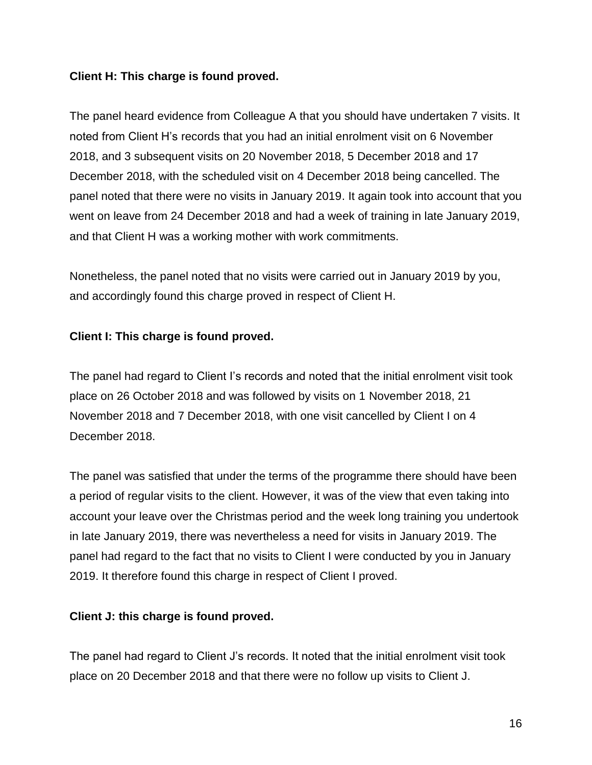#### **Client H: This charge is found proved.**

The panel heard evidence from Colleague A that you should have undertaken 7 visits. It noted from Client H's records that you had an initial enrolment visit on 6 November 2018, and 3 subsequent visits on 20 November 2018, 5 December 2018 and 17 December 2018, with the scheduled visit on 4 December 2018 being cancelled. The panel noted that there were no visits in January 2019. It again took into account that you went on leave from 24 December 2018 and had a week of training in late January 2019, and that Client H was a working mother with work commitments.

Nonetheless, the panel noted that no visits were carried out in January 2019 by you, and accordingly found this charge proved in respect of Client H.

#### **Client I: This charge is found proved.**

The panel had regard to Client I's records and noted that the initial enrolment visit took place on 26 October 2018 and was followed by visits on 1 November 2018, 21 November 2018 and 7 December 2018, with one visit cancelled by Client I on 4 December 2018.

The panel was satisfied that under the terms of the programme there should have been a period of regular visits to the client. However, it was of the view that even taking into account your leave over the Christmas period and the week long training you undertook in late January 2019, there was nevertheless a need for visits in January 2019. The panel had regard to the fact that no visits to Client I were conducted by you in January 2019. It therefore found this charge in respect of Client I proved.

#### **Client J: this charge is found proved.**

The panel had regard to Client J's records. It noted that the initial enrolment visit took place on 20 December 2018 and that there were no follow up visits to Client J.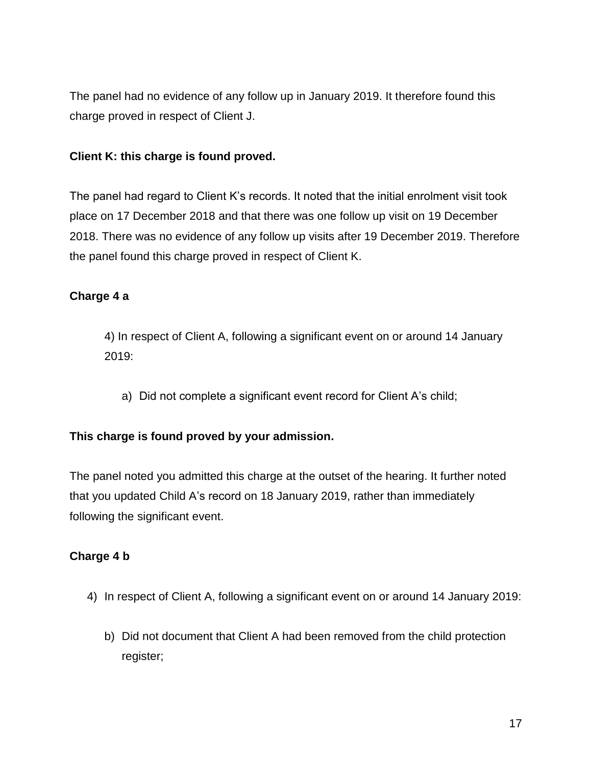The panel had no evidence of any follow up in January 2019. It therefore found this charge proved in respect of Client J.

#### **Client K: this charge is found proved.**

The panel had regard to Client K's records. It noted that the initial enrolment visit took place on 17 December 2018 and that there was one follow up visit on 19 December 2018. There was no evidence of any follow up visits after 19 December 2019. Therefore the panel found this charge proved in respect of Client K.

#### **Charge 4 a**

4) In respect of Client A, following a significant event on or around 14 January 2019:

a) Did not complete a significant event record for Client A's child;

#### **This charge is found proved by your admission.**

The panel noted you admitted this charge at the outset of the hearing. It further noted that you updated Child A's record on 18 January 2019, rather than immediately following the significant event.

#### **Charge 4 b**

- 4) In respect of Client A, following a significant event on or around 14 January 2019:
	- b) Did not document that Client A had been removed from the child protection register;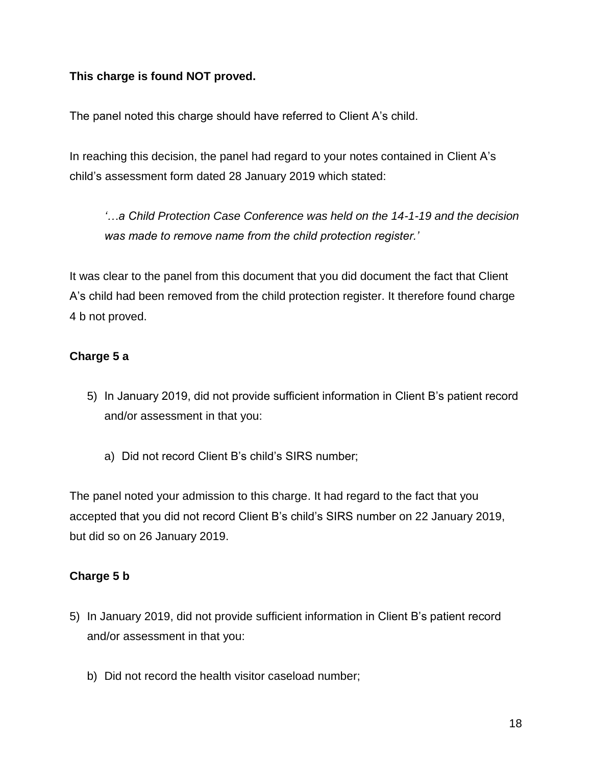### **This charge is found NOT proved.**

The panel noted this charge should have referred to Client A's child.

In reaching this decision, the panel had regard to your notes contained in Client A's child's assessment form dated 28 January 2019 which stated:

*'…a Child Protection Case Conference was held on the 14-1-19 and the decision was made to remove name from the child protection register.'* 

It was clear to the panel from this document that you did document the fact that Client A's child had been removed from the child protection register. It therefore found charge 4 b not proved.

## **Charge 5 a**

- 5) In January 2019, did not provide sufficient information in Client B's patient record and/or assessment in that you:
	- a) Did not record Client B's child's SIRS number;

The panel noted your admission to this charge. It had regard to the fact that you accepted that you did not record Client B's child's SIRS number on 22 January 2019, but did so on 26 January 2019.

#### **Charge 5 b**

- 5) In January 2019, did not provide sufficient information in Client B's patient record and/or assessment in that you:
	- b) Did not record the health visitor caseload number;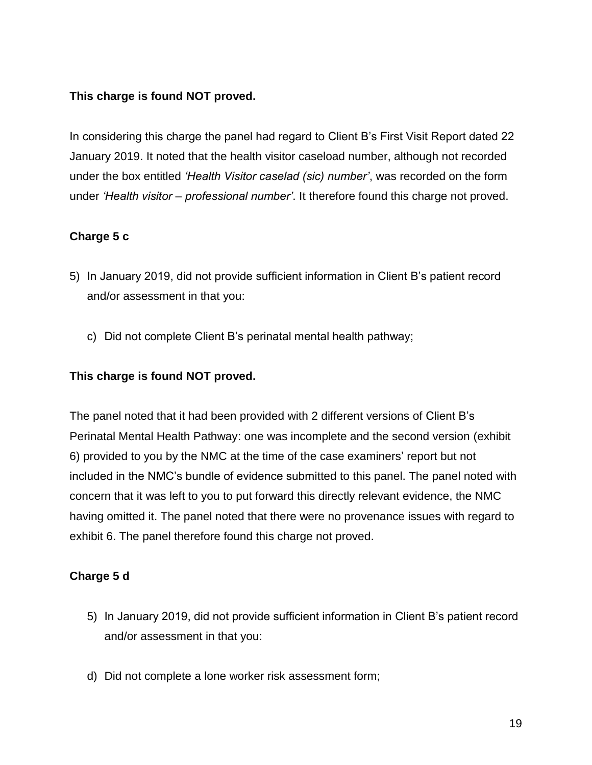## **This charge is found NOT proved.**

In considering this charge the panel had regard to Client B's First Visit Report dated 22 January 2019. It noted that the health visitor caseload number, although not recorded under the box entitled *'Health Visitor caselad (sic) number'*, was recorded on the form under *'Health visitor – professional number'*. It therefore found this charge not proved.

## **Charge 5 c**

- 5) In January 2019, did not provide sufficient information in Client B's patient record and/or assessment in that you:
	- c) Did not complete Client B's perinatal mental health pathway;

### **This charge is found NOT proved.**

The panel noted that it had been provided with 2 different versions of Client B's Perinatal Mental Health Pathway: one was incomplete and the second version (exhibit 6) provided to you by the NMC at the time of the case examiners' report but not included in the NMC's bundle of evidence submitted to this panel. The panel noted with concern that it was left to you to put forward this directly relevant evidence, the NMC having omitted it. The panel noted that there were no provenance issues with regard to exhibit 6. The panel therefore found this charge not proved.

#### **Charge 5 d**

- 5) In January 2019, did not provide sufficient information in Client B's patient record and/or assessment in that you:
- d) Did not complete a lone worker risk assessment form;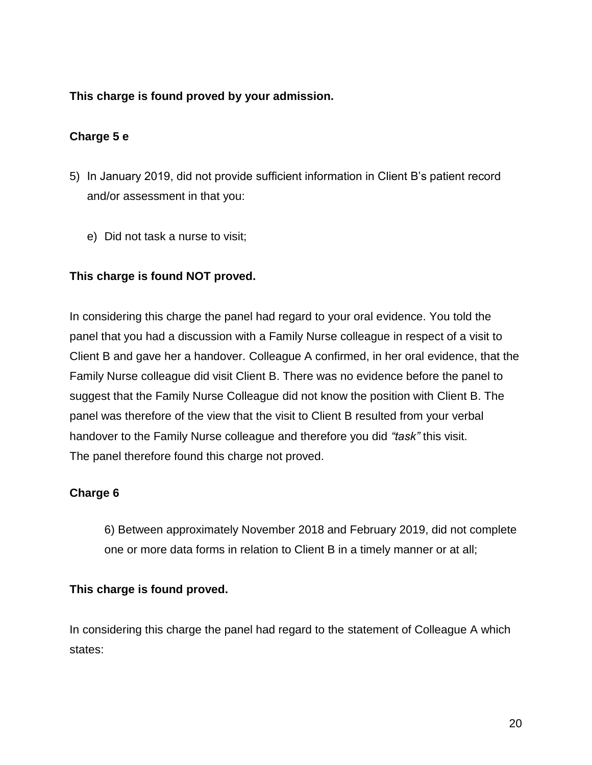**This charge is found proved by your admission.**

## **Charge 5 e**

- 5) In January 2019, did not provide sufficient information in Client B's patient record and/or assessment in that you:
	- e) Did not task a nurse to visit;

#### **This charge is found NOT proved.**

In considering this charge the panel had regard to your oral evidence. You told the panel that you had a discussion with a Family Nurse colleague in respect of a visit to Client B and gave her a handover. Colleague A confirmed, in her oral evidence, that the Family Nurse colleague did visit Client B. There was no evidence before the panel to suggest that the Family Nurse Colleague did not know the position with Client B. The panel was therefore of the view that the visit to Client B resulted from your verbal handover to the Family Nurse colleague and therefore you did *"task"* this visit. The panel therefore found this charge not proved.

#### **Charge 6**

6) Between approximately November 2018 and February 2019, did not complete one or more data forms in relation to Client B in a timely manner or at all;

#### **This charge is found proved.**

In considering this charge the panel had regard to the statement of Colleague A which states: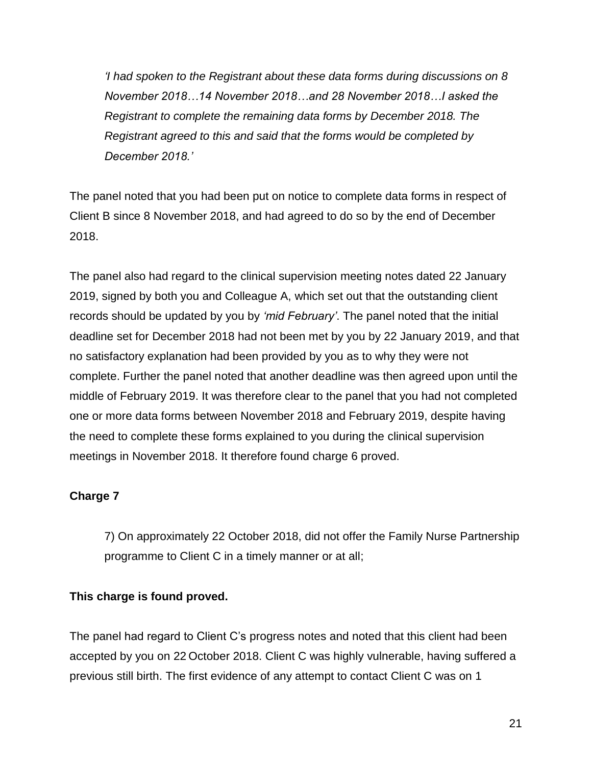*'I had spoken to the Registrant about these data forms during discussions on 8 November 2018…14 November 2018…and 28 November 2018…I asked the Registrant to complete the remaining data forms by December 2018. The Registrant agreed to this and said that the forms would be completed by December 2018.'*

The panel noted that you had been put on notice to complete data forms in respect of Client B since 8 November 2018, and had agreed to do so by the end of December 2018.

The panel also had regard to the clinical supervision meeting notes dated 22 January 2019, signed by both you and Colleague A, which set out that the outstanding client records should be updated by you by *'mid February'*. The panel noted that the initial deadline set for December 2018 had not been met by you by 22 January 2019, and that no satisfactory explanation had been provided by you as to why they were not complete. Further the panel noted that another deadline was then agreed upon until the middle of February 2019. It was therefore clear to the panel that you had not completed one or more data forms between November 2018 and February 2019, despite having the need to complete these forms explained to you during the clinical supervision meetings in November 2018. It therefore found charge 6 proved.

#### **Charge 7**

7) On approximately 22 October 2018, did not offer the Family Nurse Partnership programme to Client C in a timely manner or at all;

#### **This charge is found proved.**

The panel had regard to Client C's progress notes and noted that this client had been accepted by you on 22 October 2018. Client C was highly vulnerable, having suffered a previous still birth. The first evidence of any attempt to contact Client C was on 1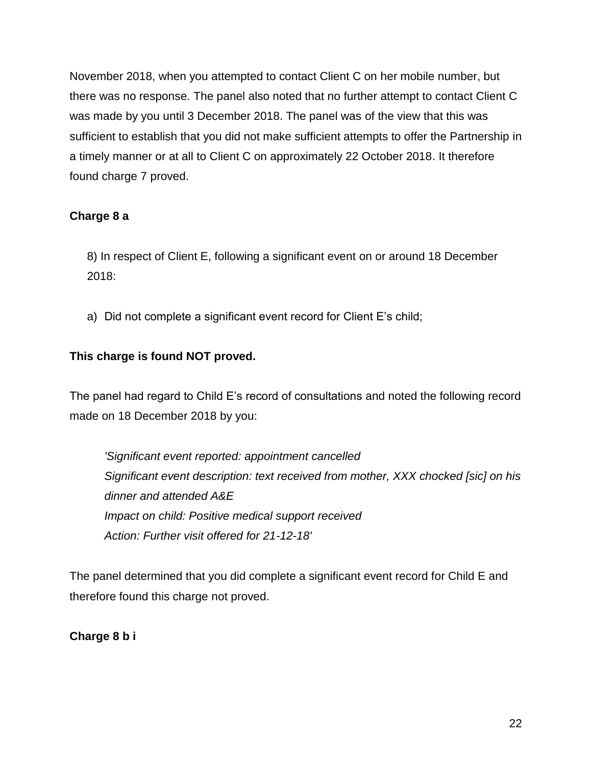November 2018, when you attempted to contact Client C on her mobile number, but there was no response. The panel also noted that no further attempt to contact Client C was made by you until 3 December 2018. The panel was of the view that this was sufficient to establish that you did not make sufficient attempts to offer the Partnership in a timely manner or at all to Client C on approximately 22 October 2018. It therefore found charge 7 proved.

## **Charge 8 a**

8) In respect of Client E, following a significant event on or around 18 December 2018:

a) Did not complete a significant event record for Client E's child;

## **This charge is found NOT proved.**

The panel had regard to Child E's record of consultations and noted the following record made on 18 December 2018 by you:

*'Significant event reported: appointment cancelled Significant event description: text received from mother, XXX chocked [sic] on his dinner and attended A&E Impact on child: Positive medical support received Action: Further visit offered for 21-12-18'*

The panel determined that you did complete a significant event record for Child E and therefore found this charge not proved.

## **Charge 8 b i**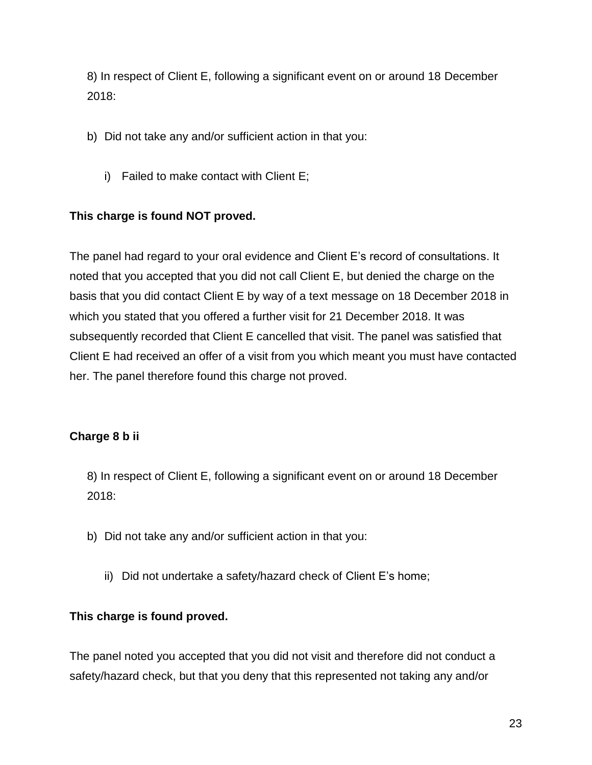8) In respect of Client E, following a significant event on or around 18 December 2018:

- b) Did not take any and/or sufficient action in that you:
	- i) Failed to make contact with Client E;

## **This charge is found NOT proved.**

The panel had regard to your oral evidence and Client E's record of consultations. It noted that you accepted that you did not call Client E, but denied the charge on the basis that you did contact Client E by way of a text message on 18 December 2018 in which you stated that you offered a further visit for 21 December 2018. It was subsequently recorded that Client E cancelled that visit. The panel was satisfied that Client E had received an offer of a visit from you which meant you must have contacted her. The panel therefore found this charge not proved.

#### **Charge 8 b ii**

8) In respect of Client E, following a significant event on or around 18 December 2018:

- b) Did not take any and/or sufficient action in that you:
	- ii) Did not undertake a safety/hazard check of Client E's home;

#### **This charge is found proved.**

The panel noted you accepted that you did not visit and therefore did not conduct a safety/hazard check, but that you deny that this represented not taking any and/or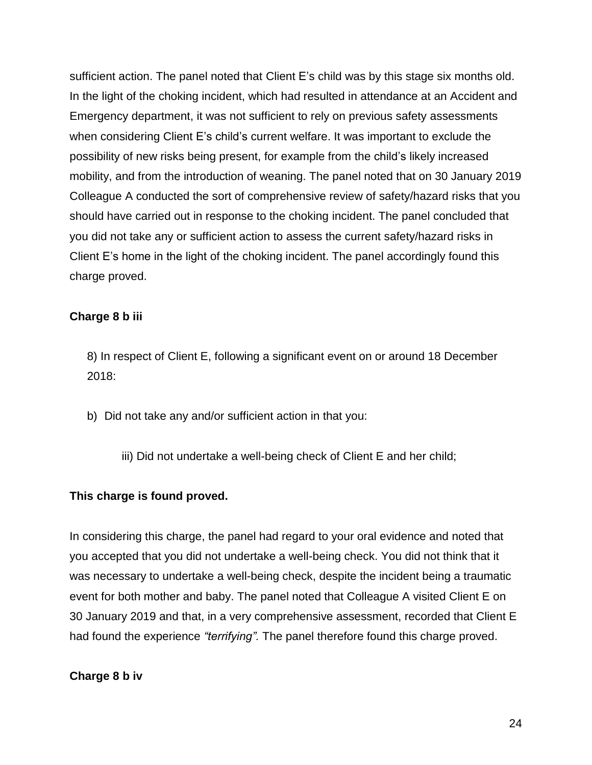sufficient action. The panel noted that Client E's child was by this stage six months old. In the light of the choking incident, which had resulted in attendance at an Accident and Emergency department, it was not sufficient to rely on previous safety assessments when considering Client E's child's current welfare. It was important to exclude the possibility of new risks being present, for example from the child's likely increased mobility, and from the introduction of weaning. The panel noted that on 30 January 2019 Colleague A conducted the sort of comprehensive review of safety/hazard risks that you should have carried out in response to the choking incident. The panel concluded that you did not take any or sufficient action to assess the current safety/hazard risks in Client E's home in the light of the choking incident. The panel accordingly found this charge proved.

#### **Charge 8 b iii**

8) In respect of Client E, following a significant event on or around 18 December 2018:

b) Did not take any and/or sufficient action in that you:

iii) Did not undertake a well-being check of Client E and her child;

#### **This charge is found proved.**

In considering this charge, the panel had regard to your oral evidence and noted that you accepted that you did not undertake a well-being check. You did not think that it was necessary to undertake a well-being check, despite the incident being a traumatic event for both mother and baby. The panel noted that Colleague A visited Client E on 30 January 2019 and that, in a very comprehensive assessment, recorded that Client E had found the experience *"terrifying".* The panel therefore found this charge proved.

#### **Charge 8 b iv**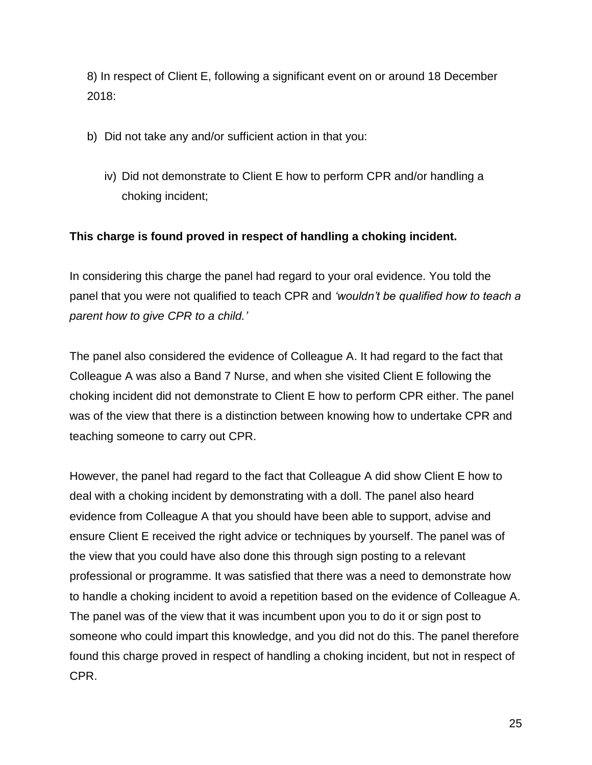8) In respect of Client E, following a significant event on or around 18 December 2018:

- b) Did not take any and/or sufficient action in that you:
	- iv) Did not demonstrate to Client E how to perform CPR and/or handling a choking incident;

#### **This charge is found proved in respect of handling a choking incident.**

In considering this charge the panel had regard to your oral evidence. You told the panel that you were not qualified to teach CPR and *'wouldn't be qualified how to teach a parent how to give CPR to a child.'*

The panel also considered the evidence of Colleague A. It had regard to the fact that Colleague A was also a Band 7 Nurse, and when she visited Client E following the choking incident did not demonstrate to Client E how to perform CPR either. The panel was of the view that there is a distinction between knowing how to undertake CPR and teaching someone to carry out CPR.

However, the panel had regard to the fact that Colleague A did show Client E how to deal with a choking incident by demonstrating with a doll. The panel also heard evidence from Colleague A that you should have been able to support, advise and ensure Client E received the right advice or techniques by yourself. The panel was of the view that you could have also done this through sign posting to a relevant professional or programme. It was satisfied that there was a need to demonstrate how to handle a choking incident to avoid a repetition based on the evidence of Colleague A. The panel was of the view that it was incumbent upon you to do it or sign post to someone who could impart this knowledge, and you did not do this. The panel therefore found this charge proved in respect of handling a choking incident, but not in respect of CPR.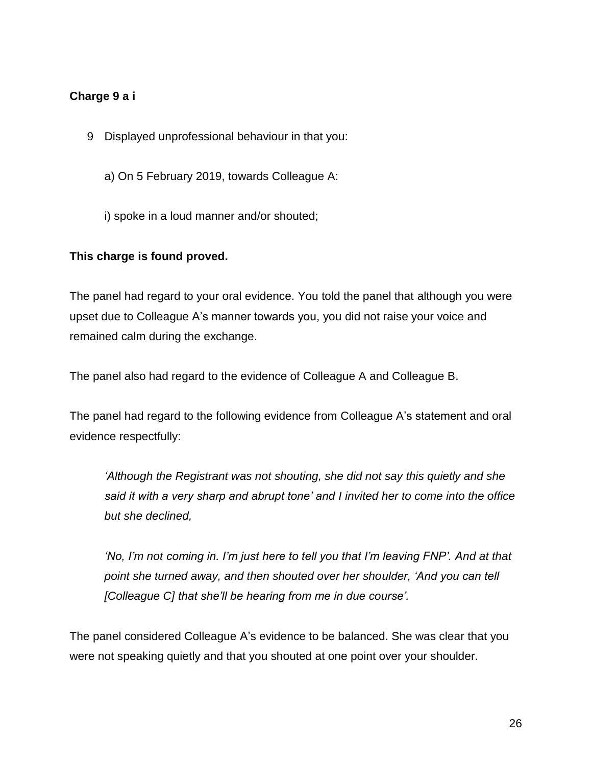### **Charge 9 a i**

- 9 Displayed unprofessional behaviour in that you:
	- a) On 5 February 2019, towards Colleague A:
	- i) spoke in a loud manner and/or shouted;

#### **This charge is found proved.**

The panel had regard to your oral evidence. You told the panel that although you were upset due to Colleague A's manner towards you, you did not raise your voice and remained calm during the exchange.

The panel also had regard to the evidence of Colleague A and Colleague B.

The panel had regard to the following evidence from Colleague A's statement and oral evidence respectfully:

*'Although the Registrant was not shouting, she did not say this quietly and she said it with a very sharp and abrupt tone' and I invited her to come into the office but she declined,* 

*'No, I'm not coming in. I'm just here to tell you that I'm leaving FNP'. And at that point she turned away, and then shouted over her shoulder, 'And you can tell [Colleague C] that she'll be hearing from me in due course'.*

The panel considered Colleague A's evidence to be balanced. She was clear that you were not speaking quietly and that you shouted at one point over your shoulder.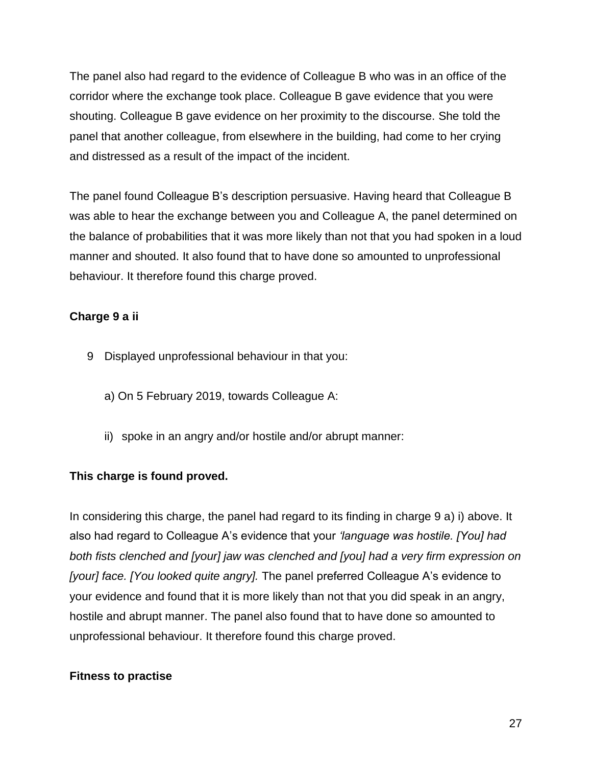The panel also had regard to the evidence of Colleague B who was in an office of the corridor where the exchange took place. Colleague B gave evidence that you were shouting. Colleague B gave evidence on her proximity to the discourse. She told the panel that another colleague, from elsewhere in the building, had come to her crying and distressed as a result of the impact of the incident.

The panel found Colleague B's description persuasive. Having heard that Colleague B was able to hear the exchange between you and Colleague A, the panel determined on the balance of probabilities that it was more likely than not that you had spoken in a loud manner and shouted. It also found that to have done so amounted to unprofessional behaviour. It therefore found this charge proved.

## **Charge 9 a ii**

- 9 Displayed unprofessional behaviour in that you:
	- a) On 5 February 2019, towards Colleague A:
	- ii) spoke in an angry and/or hostile and/or abrupt manner:

## **This charge is found proved.**

In considering this charge, the panel had regard to its finding in charge 9 a) i) above. It also had regard to Colleague A's evidence that your *'language was hostile. [You] had both fists clenched and [your] jaw was clenched and [you] had a very firm expression on [your] face. [You looked quite angry].* The panel preferred Colleague A's evidence to your evidence and found that it is more likely than not that you did speak in an angry, hostile and abrupt manner. The panel also found that to have done so amounted to unprofessional behaviour. It therefore found this charge proved.

## **Fitness to practise**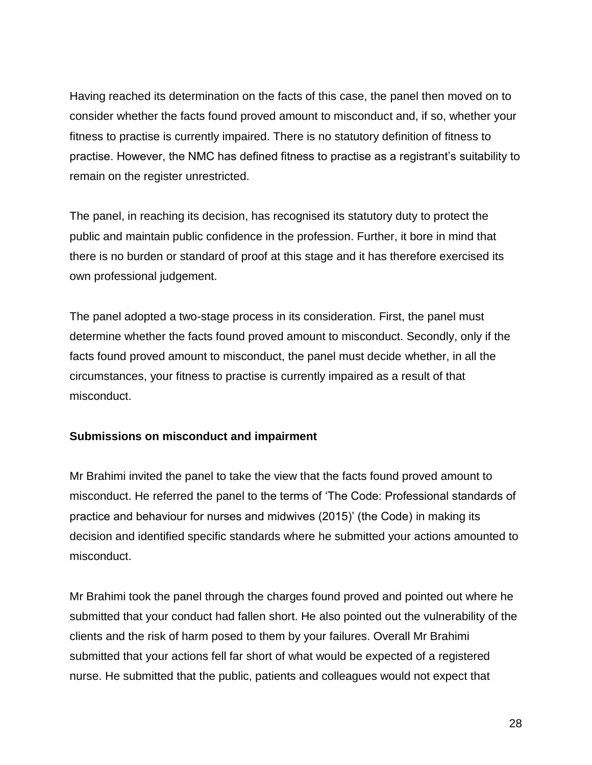Having reached its determination on the facts of this case, the panel then moved on to consider whether the facts found proved amount to misconduct and, if so, whether your fitness to practise is currently impaired. There is no statutory definition of fitness to practise. However, the NMC has defined fitness to practise as a registrant's suitability to remain on the register unrestricted.

The panel, in reaching its decision, has recognised its statutory duty to protect the public and maintain public confidence in the profession. Further, it bore in mind that there is no burden or standard of proof at this stage and it has therefore exercised its own professional judgement.

The panel adopted a two-stage process in its consideration. First, the panel must determine whether the facts found proved amount to misconduct. Secondly, only if the facts found proved amount to misconduct, the panel must decide whether, in all the circumstances, your fitness to practise is currently impaired as a result of that misconduct.

#### **Submissions on misconduct and impairment**

Mr Brahimi invited the panel to take the view that the facts found proved amount to misconduct. He referred the panel to the terms of 'The Code: Professional standards of practice and behaviour for nurses and midwives (2015)' (the Code) in making its decision and identified specific standards where he submitted your actions amounted to misconduct.

Mr Brahimi took the panel through the charges found proved and pointed out where he submitted that your conduct had fallen short. He also pointed out the vulnerability of the clients and the risk of harm posed to them by your failures. Overall Mr Brahimi submitted that your actions fell far short of what would be expected of a registered nurse. He submitted that the public, patients and colleagues would not expect that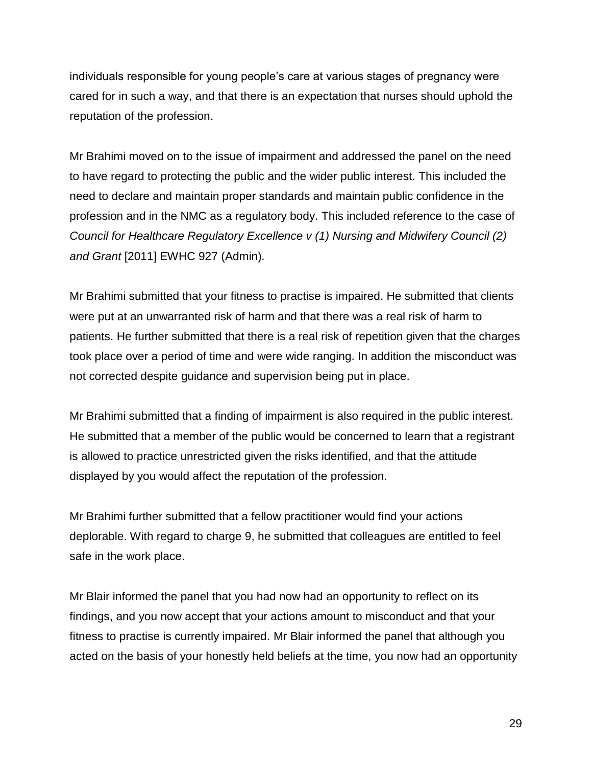individuals responsible for young people's care at various stages of pregnancy were cared for in such a way, and that there is an expectation that nurses should uphold the reputation of the profession.

Mr Brahimi moved on to the issue of impairment and addressed the panel on the need to have regard to protecting the public and the wider public interest. This included the need to declare and maintain proper standards and maintain public confidence in the profession and in the NMC as a regulatory body. This included reference to the case of *Council for Healthcare Regulatory Excellence v (1) Nursing and Midwifery Council (2) and Grant* [2011] EWHC 927 (Admin)*.*

Mr Brahimi submitted that your fitness to practise is impaired. He submitted that clients were put at an unwarranted risk of harm and that there was a real risk of harm to patients. He further submitted that there is a real risk of repetition given that the charges took place over a period of time and were wide ranging. In addition the misconduct was not corrected despite guidance and supervision being put in place.

Mr Brahimi submitted that a finding of impairment is also required in the public interest. He submitted that a member of the public would be concerned to learn that a registrant is allowed to practice unrestricted given the risks identified, and that the attitude displayed by you would affect the reputation of the profession.

Mr Brahimi further submitted that a fellow practitioner would find your actions deplorable. With regard to charge 9, he submitted that colleagues are entitled to feel safe in the work place.

Mr Blair informed the panel that you had now had an opportunity to reflect on its findings, and you now accept that your actions amount to misconduct and that your fitness to practise is currently impaired. Mr Blair informed the panel that although you acted on the basis of your honestly held beliefs at the time, you now had an opportunity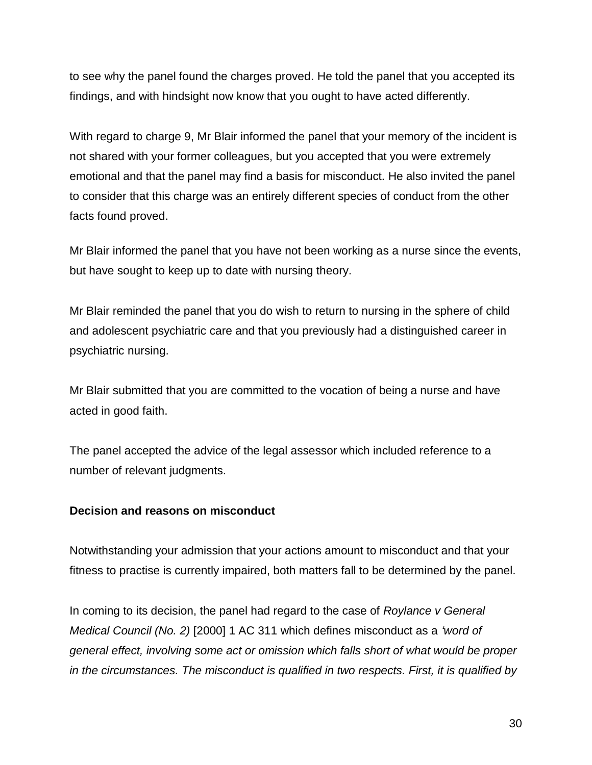to see why the panel found the charges proved. He told the panel that you accepted its findings, and with hindsight now know that you ought to have acted differently.

With regard to charge 9, Mr Blair informed the panel that your memory of the incident is not shared with your former colleagues, but you accepted that you were extremely emotional and that the panel may find a basis for misconduct. He also invited the panel to consider that this charge was an entirely different species of conduct from the other facts found proved.

Mr Blair informed the panel that you have not been working as a nurse since the events, but have sought to keep up to date with nursing theory.

Mr Blair reminded the panel that you do wish to return to nursing in the sphere of child and adolescent psychiatric care and that you previously had a distinguished career in psychiatric nursing.

Mr Blair submitted that you are committed to the vocation of being a nurse and have acted in good faith.

The panel accepted the advice of the legal assessor which included reference to a number of relevant judgments.

#### **Decision and reasons on misconduct**

Notwithstanding your admission that your actions amount to misconduct and that your fitness to practise is currently impaired, both matters fall to be determined by the panel.

In coming to its decision, the panel had regard to the case of *Roylance v General Medical Council (No. 2)* [2000] 1 AC 311 which defines misconduct as a *'word of general effect, involving some act or omission which falls short of what would be proper in the circumstances. The misconduct is qualified in two respects. First, it is qualified by*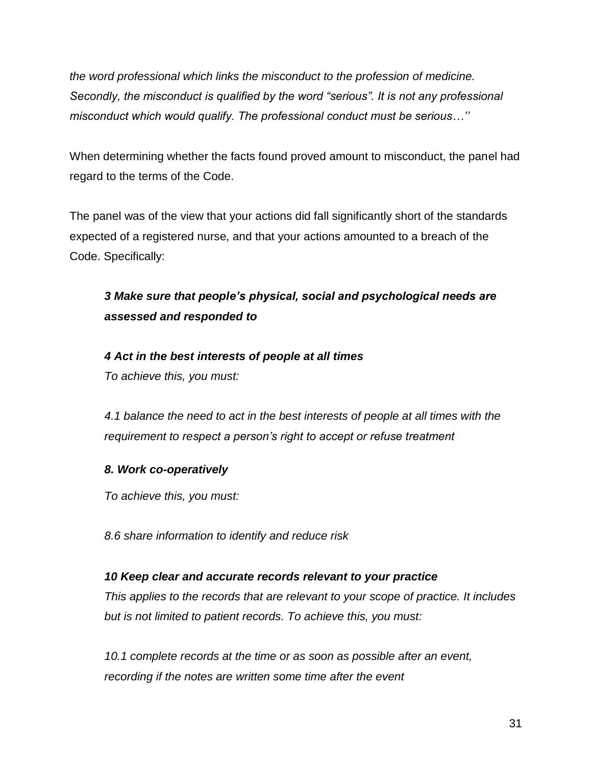*the word professional which links the misconduct to the profession of medicine. Secondly, the misconduct is qualified by the word "serious". It is not any professional misconduct which would qualify. The professional conduct must be serious…''*

When determining whether the facts found proved amount to misconduct, the panel had regard to the terms of the Code.

The panel was of the view that your actions did fall significantly short of the standards expected of a registered nurse, and that your actions amounted to a breach of the Code. Specifically:

## *3 Make sure that people's physical, social and psychological needs are assessed and responded to*

*4 Act in the best interests of people at all times To achieve this, you must:* 

*4.1 balance the need to act in the best interests of people at all times with the requirement to respect a person's right to accept or refuse treatment*

#### *8. Work co-operatively*

*To achieve this, you must:* 

*8.6 share information to identify and reduce risk*

## *10 Keep clear and accurate records relevant to your practice*

*This applies to the records that are relevant to your scope of practice. It includes but is not limited to patient records. To achieve this, you must:* 

*10.1 complete records at the time or as soon as possible after an event, recording if the notes are written some time after the event*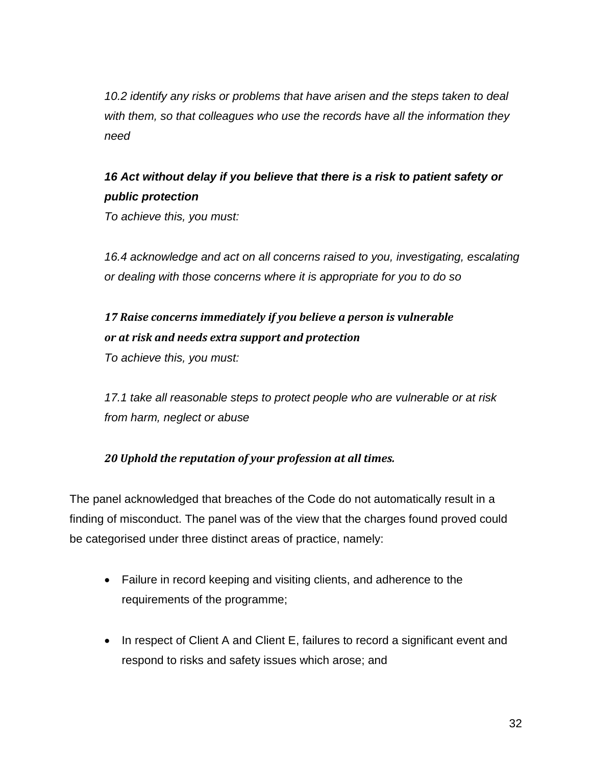*10.2 identify any risks or problems that have arisen and the steps taken to deal with them, so that colleagues who use the records have all the information they need*

# *16 Act without delay if you believe that there is a risk to patient safety or public protection*

*To achieve this, you must:*

*16.4 acknowledge and act on all concerns raised to you, investigating, escalating or dealing with those concerns where it is appropriate for you to do so*

## *17 Raise concerns immediately if you believe a person is vulnerable or at risk and needs extra support and protection*

*To achieve this, you must:*

*17.1 take all reasonable steps to protect people who are vulnerable or at risk from harm, neglect or abuse*

## *20 Uphold the reputation of your profession at all times.*

The panel acknowledged that breaches of the Code do not automatically result in a finding of misconduct. The panel was of the view that the charges found proved could be categorised under three distinct areas of practice, namely:

- Failure in record keeping and visiting clients, and adherence to the requirements of the programme;
- In respect of Client A and Client E, failures to record a significant event and respond to risks and safety issues which arose; and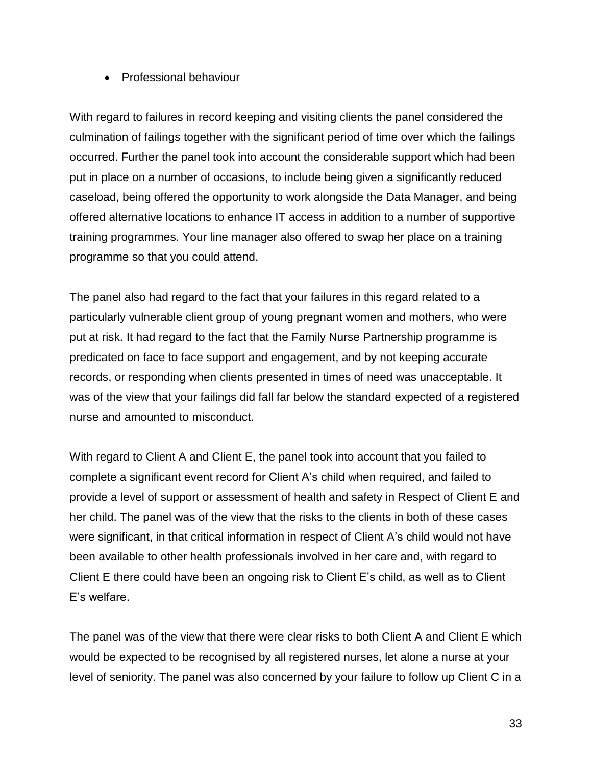#### • Professional behaviour

With regard to failures in record keeping and visiting clients the panel considered the culmination of failings together with the significant period of time over which the failings occurred. Further the panel took into account the considerable support which had been put in place on a number of occasions, to include being given a significantly reduced caseload, being offered the opportunity to work alongside the Data Manager, and being offered alternative locations to enhance IT access in addition to a number of supportive training programmes. Your line manager also offered to swap her place on a training programme so that you could attend.

The panel also had regard to the fact that your failures in this regard related to a particularly vulnerable client group of young pregnant women and mothers, who were put at risk. It had regard to the fact that the Family Nurse Partnership programme is predicated on face to face support and engagement, and by not keeping accurate records, or responding when clients presented in times of need was unacceptable. It was of the view that your failings did fall far below the standard expected of a registered nurse and amounted to misconduct.

With regard to Client A and Client E, the panel took into account that you failed to complete a significant event record for Client A's child when required, and failed to provide a level of support or assessment of health and safety in Respect of Client E and her child. The panel was of the view that the risks to the clients in both of these cases were significant, in that critical information in respect of Client A's child would not have been available to other health professionals involved in her care and, with regard to Client E there could have been an ongoing risk to Client E's child, as well as to Client E's welfare.

The panel was of the view that there were clear risks to both Client A and Client E which would be expected to be recognised by all registered nurses, let alone a nurse at your level of seniority. The panel was also concerned by your failure to follow up Client C in a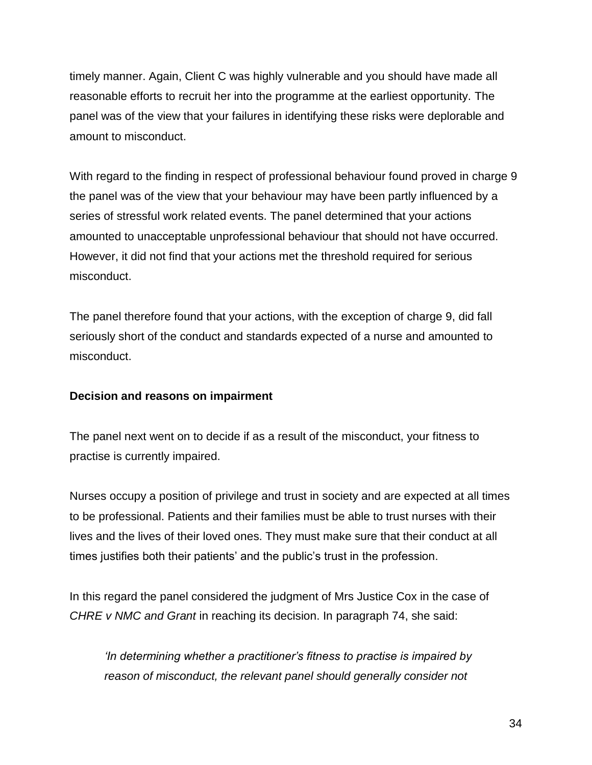timely manner. Again, Client C was highly vulnerable and you should have made all reasonable efforts to recruit her into the programme at the earliest opportunity. The panel was of the view that your failures in identifying these risks were deplorable and amount to misconduct.

With regard to the finding in respect of professional behaviour found proved in charge 9 the panel was of the view that your behaviour may have been partly influenced by a series of stressful work related events. The panel determined that your actions amounted to unacceptable unprofessional behaviour that should not have occurred. However, it did not find that your actions met the threshold required for serious misconduct.

The panel therefore found that your actions, with the exception of charge 9, did fall seriously short of the conduct and standards expected of a nurse and amounted to misconduct.

#### **Decision and reasons on impairment**

The panel next went on to decide if as a result of the misconduct, your fitness to practise is currently impaired.

Nurses occupy a position of privilege and trust in society and are expected at all times to be professional. Patients and their families must be able to trust nurses with their lives and the lives of their loved ones. They must make sure that their conduct at all times justifies both their patients' and the public's trust in the profession.

In this regard the panel considered the judgment of Mrs Justice Cox in the case of *CHRE v NMC and Grant* in reaching its decision. In paragraph 74, she said:

*'In determining whether a practitioner's fitness to practise is impaired by reason of misconduct, the relevant panel should generally consider not*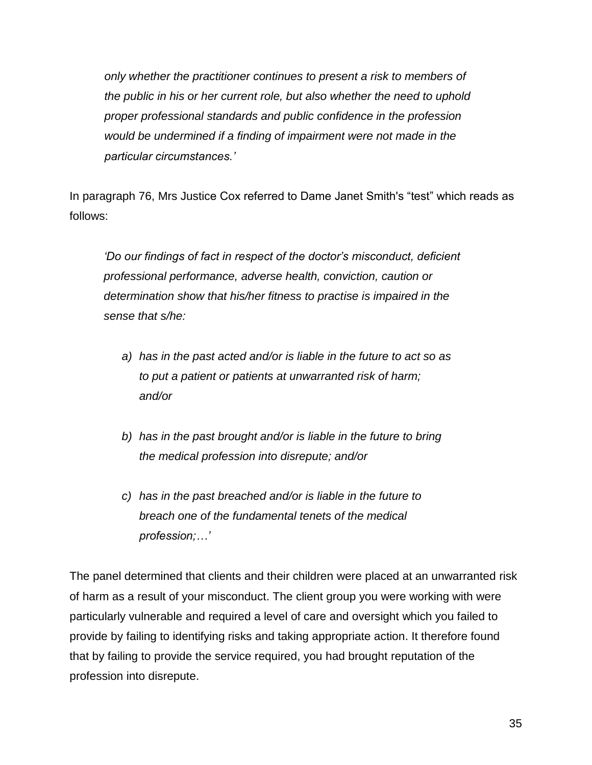*only whether the practitioner continues to present a risk to members of the public in his or her current role, but also whether the need to uphold proper professional standards and public confidence in the profession would be undermined if a finding of impairment were not made in the particular circumstances.'*

In paragraph 76, Mrs Justice Cox referred to Dame Janet Smith's "test" which reads as follows:

*'Do our findings of fact in respect of the doctor's misconduct, deficient professional performance, adverse health, conviction, caution or determination show that his/her fitness to practise is impaired in the sense that s/he:*

- *a) has in the past acted and/or is liable in the future to act so as to put a patient or patients at unwarranted risk of harm; and/or*
- *b) has in the past brought and/or is liable in the future to bring the medical profession into disrepute; and/or*
- *c) has in the past breached and/or is liable in the future to breach one of the fundamental tenets of the medical profession;…'*

The panel determined that clients and their children were placed at an unwarranted risk of harm as a result of your misconduct. The client group you were working with were particularly vulnerable and required a level of care and oversight which you failed to provide by failing to identifying risks and taking appropriate action. It therefore found that by failing to provide the service required, you had brought reputation of the profession into disrepute.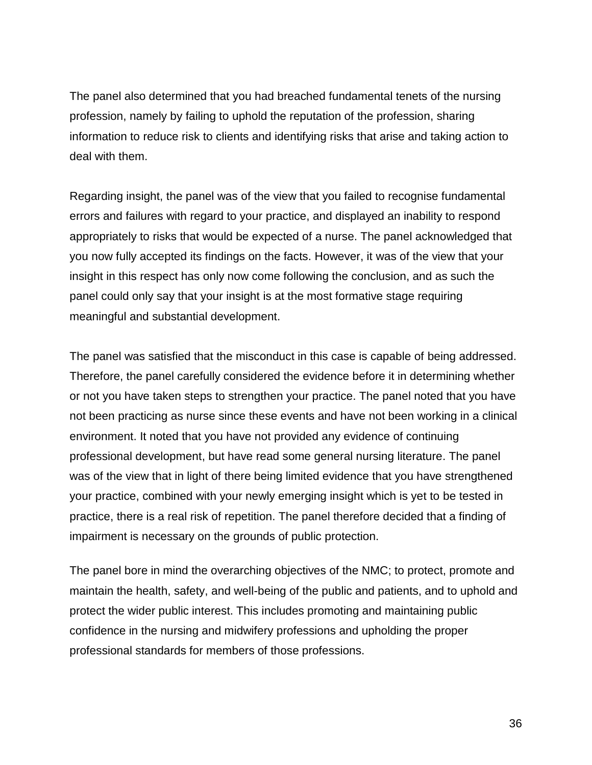The panel also determined that you had breached fundamental tenets of the nursing profession, namely by failing to uphold the reputation of the profession, sharing information to reduce risk to clients and identifying risks that arise and taking action to deal with them.

Regarding insight, the panel was of the view that you failed to recognise fundamental errors and failures with regard to your practice, and displayed an inability to respond appropriately to risks that would be expected of a nurse. The panel acknowledged that you now fully accepted its findings on the facts. However, it was of the view that your insight in this respect has only now come following the conclusion, and as such the panel could only say that your insight is at the most formative stage requiring meaningful and substantial development.

The panel was satisfied that the misconduct in this case is capable of being addressed. Therefore, the panel carefully considered the evidence before it in determining whether or not you have taken steps to strengthen your practice. The panel noted that you have not been practicing as nurse since these events and have not been working in a clinical environment. It noted that you have not provided any evidence of continuing professional development, but have read some general nursing literature. The panel was of the view that in light of there being limited evidence that you have strengthened your practice, combined with your newly emerging insight which is yet to be tested in practice, there is a real risk of repetition. The panel therefore decided that a finding of impairment is necessary on the grounds of public protection.

The panel bore in mind the overarching objectives of the NMC; to protect, promote and maintain the health, safety, and well-being of the public and patients, and to uphold and protect the wider public interest. This includes promoting and maintaining public confidence in the nursing and midwifery professions and upholding the proper professional standards for members of those professions.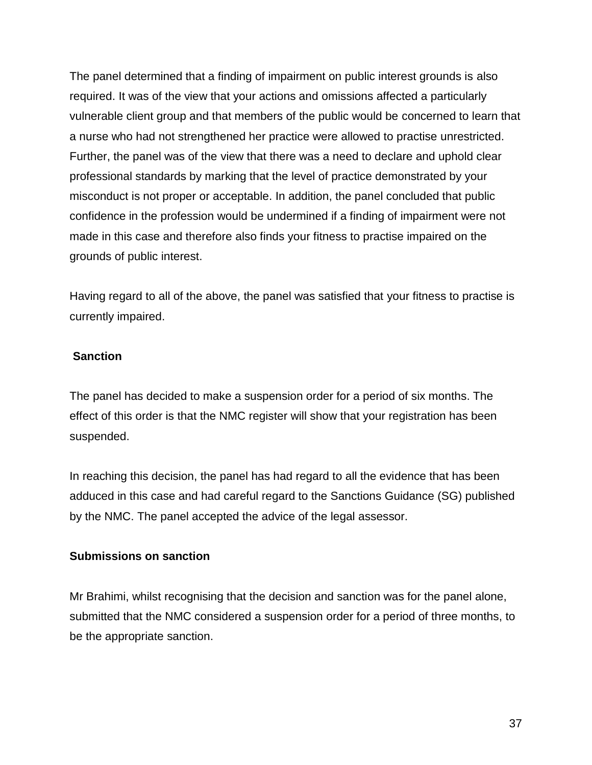The panel determined that a finding of impairment on public interest grounds is also required. It was of the view that your actions and omissions affected a particularly vulnerable client group and that members of the public would be concerned to learn that a nurse who had not strengthened her practice were allowed to practise unrestricted. Further, the panel was of the view that there was a need to declare and uphold clear professional standards by marking that the level of practice demonstrated by your misconduct is not proper or acceptable. In addition, the panel concluded that public confidence in the profession would be undermined if a finding of impairment were not made in this case and therefore also finds your fitness to practise impaired on the grounds of public interest.

Having regard to all of the above, the panel was satisfied that your fitness to practise is currently impaired.

#### **Sanction**

The panel has decided to make a suspension order for a period of six months. The effect of this order is that the NMC register will show that your registration has been suspended.

In reaching this decision, the panel has had regard to all the evidence that has been adduced in this case and had careful regard to the Sanctions Guidance (SG) published by the NMC. The panel accepted the advice of the legal assessor.

#### **Submissions on sanction**

Mr Brahimi, whilst recognising that the decision and sanction was for the panel alone, submitted that the NMC considered a suspension order for a period of three months, to be the appropriate sanction.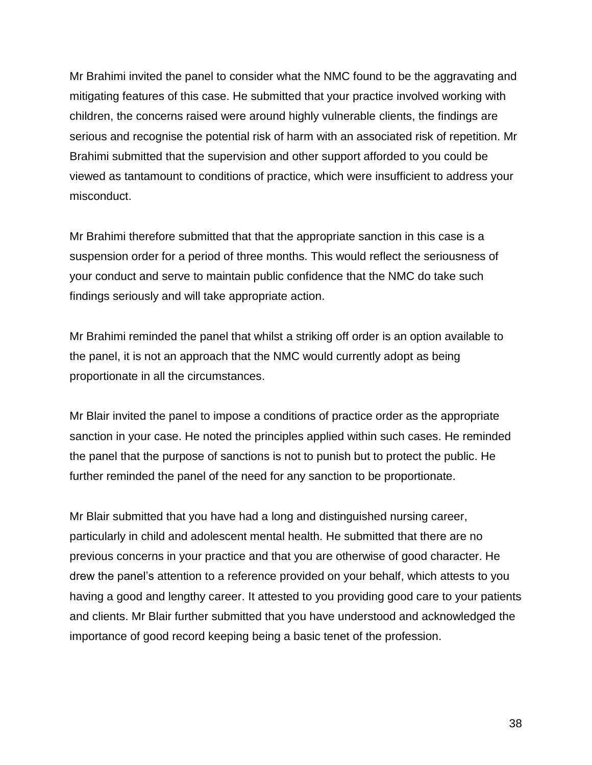Mr Brahimi invited the panel to consider what the NMC found to be the aggravating and mitigating features of this case. He submitted that your practice involved working with children, the concerns raised were around highly vulnerable clients, the findings are serious and recognise the potential risk of harm with an associated risk of repetition. Mr Brahimi submitted that the supervision and other support afforded to you could be viewed as tantamount to conditions of practice, which were insufficient to address your misconduct.

Mr Brahimi therefore submitted that that the appropriate sanction in this case is a suspension order for a period of three months. This would reflect the seriousness of your conduct and serve to maintain public confidence that the NMC do take such findings seriously and will take appropriate action.

Mr Brahimi reminded the panel that whilst a striking off order is an option available to the panel, it is not an approach that the NMC would currently adopt as being proportionate in all the circumstances.

Mr Blair invited the panel to impose a conditions of practice order as the appropriate sanction in your case. He noted the principles applied within such cases. He reminded the panel that the purpose of sanctions is not to punish but to protect the public. He further reminded the panel of the need for any sanction to be proportionate.

Mr Blair submitted that you have had a long and distinguished nursing career, particularly in child and adolescent mental health. He submitted that there are no previous concerns in your practice and that you are otherwise of good character. He drew the panel's attention to a reference provided on your behalf, which attests to you having a good and lengthy career. It attested to you providing good care to your patients and clients. Mr Blair further submitted that you have understood and acknowledged the importance of good record keeping being a basic tenet of the profession.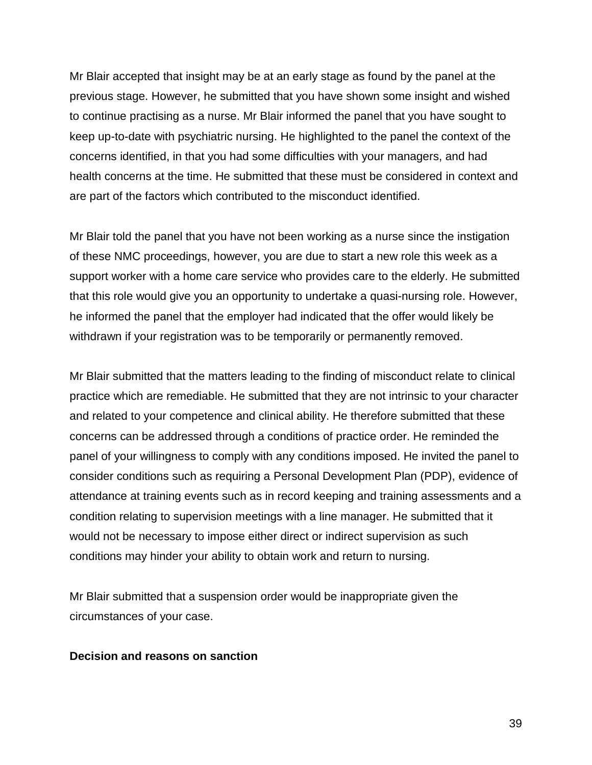Mr Blair accepted that insight may be at an early stage as found by the panel at the previous stage. However, he submitted that you have shown some insight and wished to continue practising as a nurse. Mr Blair informed the panel that you have sought to keep up-to-date with psychiatric nursing. He highlighted to the panel the context of the concerns identified, in that you had some difficulties with your managers, and had health concerns at the time. He submitted that these must be considered in context and are part of the factors which contributed to the misconduct identified.

Mr Blair told the panel that you have not been working as a nurse since the instigation of these NMC proceedings, however, you are due to start a new role this week as a support worker with a home care service who provides care to the elderly. He submitted that this role would give you an opportunity to undertake a quasi-nursing role. However, he informed the panel that the employer had indicated that the offer would likely be withdrawn if your registration was to be temporarily or permanently removed.

Mr Blair submitted that the matters leading to the finding of misconduct relate to clinical practice which are remediable. He submitted that they are not intrinsic to your character and related to your competence and clinical ability. He therefore submitted that these concerns can be addressed through a conditions of practice order. He reminded the panel of your willingness to comply with any conditions imposed. He invited the panel to consider conditions such as requiring a Personal Development Plan (PDP), evidence of attendance at training events such as in record keeping and training assessments and a condition relating to supervision meetings with a line manager. He submitted that it would not be necessary to impose either direct or indirect supervision as such conditions may hinder your ability to obtain work and return to nursing.

Mr Blair submitted that a suspension order would be inappropriate given the circumstances of your case.

#### **Decision and reasons on sanction**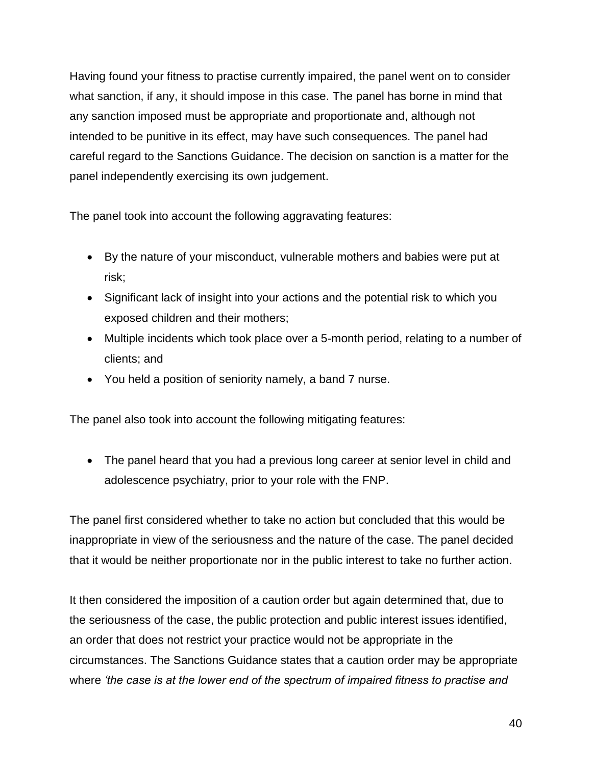Having found your fitness to practise currently impaired, the panel went on to consider what sanction, if any, it should impose in this case. The panel has borne in mind that any sanction imposed must be appropriate and proportionate and, although not intended to be punitive in its effect, may have such consequences. The panel had careful regard to the Sanctions Guidance. The decision on sanction is a matter for the panel independently exercising its own judgement.

The panel took into account the following aggravating features:

- By the nature of your misconduct, vulnerable mothers and babies were put at risk;
- Significant lack of insight into your actions and the potential risk to which you exposed children and their mothers;
- Multiple incidents which took place over a 5-month period, relating to a number of clients; and
- You held a position of seniority namely, a band 7 nurse.

The panel also took into account the following mitigating features:

 The panel heard that you had a previous long career at senior level in child and adolescence psychiatry, prior to your role with the FNP.

The panel first considered whether to take no action but concluded that this would be inappropriate in view of the seriousness and the nature of the case. The panel decided that it would be neither proportionate nor in the public interest to take no further action.

It then considered the imposition of a caution order but again determined that, due to the seriousness of the case, the public protection and public interest issues identified, an order that does not restrict your practice would not be appropriate in the circumstances. The Sanctions Guidance states that a caution order may be appropriate where *'the case is at the lower end of the spectrum of impaired fitness to practise and*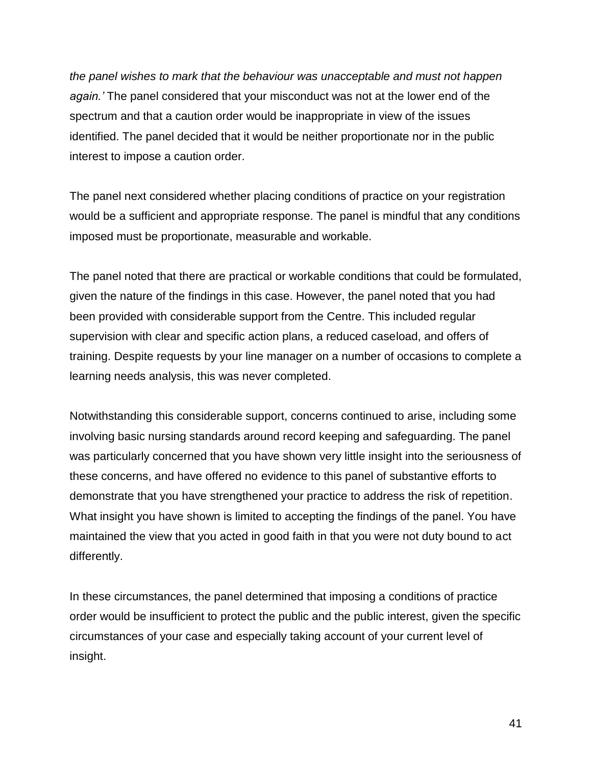*the panel wishes to mark that the behaviour was unacceptable and must not happen again.'* The panel considered that your misconduct was not at the lower end of the spectrum and that a caution order would be inappropriate in view of the issues identified. The panel decided that it would be neither proportionate nor in the public interest to impose a caution order.

The panel next considered whether placing conditions of practice on your registration would be a sufficient and appropriate response. The panel is mindful that any conditions imposed must be proportionate, measurable and workable.

The panel noted that there are practical or workable conditions that could be formulated, given the nature of the findings in this case. However, the panel noted that you had been provided with considerable support from the Centre. This included regular supervision with clear and specific action plans, a reduced caseload, and offers of training. Despite requests by your line manager on a number of occasions to complete a learning needs analysis, this was never completed.

Notwithstanding this considerable support, concerns continued to arise, including some involving basic nursing standards around record keeping and safeguarding. The panel was particularly concerned that you have shown very little insight into the seriousness of these concerns, and have offered no evidence to this panel of substantive efforts to demonstrate that you have strengthened your practice to address the risk of repetition. What insight you have shown is limited to accepting the findings of the panel. You have maintained the view that you acted in good faith in that you were not duty bound to act differently.

In these circumstances, the panel determined that imposing a conditions of practice order would be insufficient to protect the public and the public interest, given the specific circumstances of your case and especially taking account of your current level of insight.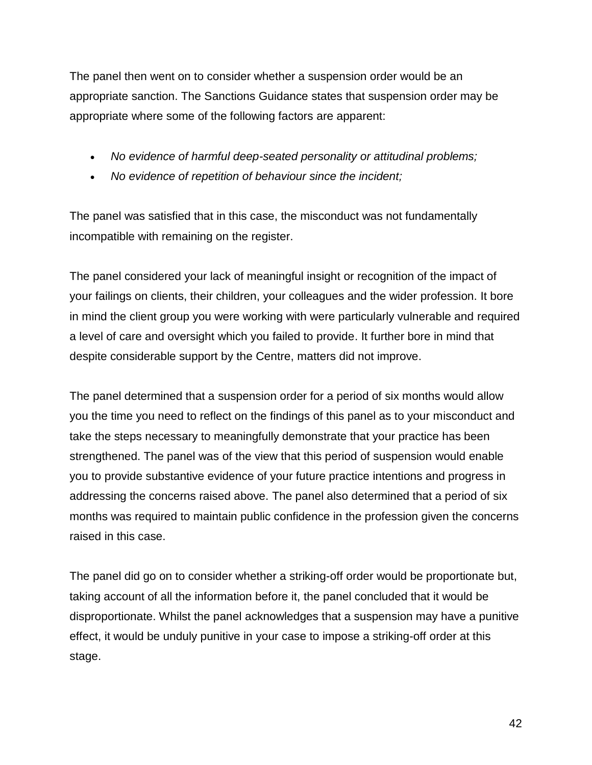The panel then went on to consider whether a suspension order would be an appropriate sanction. The Sanctions Guidance states that suspension order may be appropriate where some of the following factors are apparent:

- *No evidence of harmful deep-seated personality or attitudinal problems;*
- *No evidence of repetition of behaviour since the incident;*

The panel was satisfied that in this case, the misconduct was not fundamentally incompatible with remaining on the register.

The panel considered your lack of meaningful insight or recognition of the impact of your failings on clients, their children, your colleagues and the wider profession. It bore in mind the client group you were working with were particularly vulnerable and required a level of care and oversight which you failed to provide. It further bore in mind that despite considerable support by the Centre, matters did not improve.

The panel determined that a suspension order for a period of six months would allow you the time you need to reflect on the findings of this panel as to your misconduct and take the steps necessary to meaningfully demonstrate that your practice has been strengthened. The panel was of the view that this period of suspension would enable you to provide substantive evidence of your future practice intentions and progress in addressing the concerns raised above. The panel also determined that a period of six months was required to maintain public confidence in the profession given the concerns raised in this case.

The panel did go on to consider whether a striking-off order would be proportionate but, taking account of all the information before it, the panel concluded that it would be disproportionate. Whilst the panel acknowledges that a suspension may have a punitive effect, it would be unduly punitive in your case to impose a striking-off order at this stage.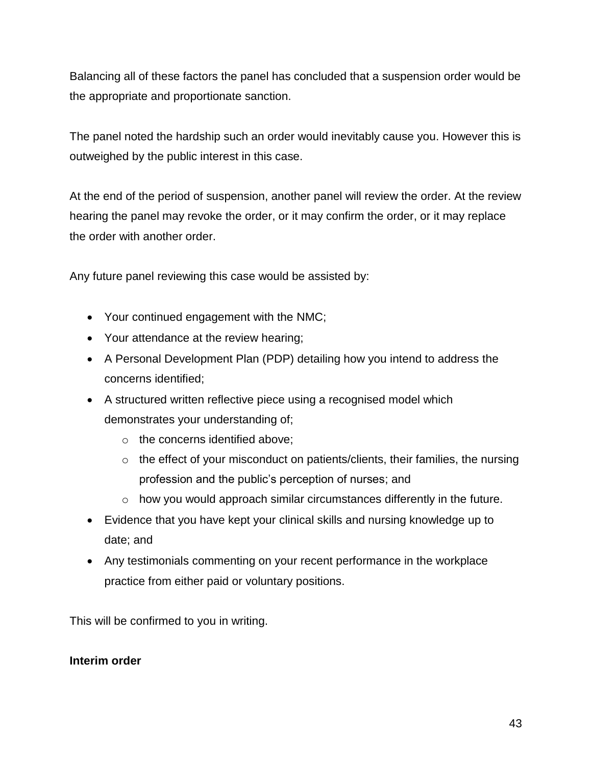Balancing all of these factors the panel has concluded that a suspension order would be the appropriate and proportionate sanction.

The panel noted the hardship such an order would inevitably cause you. However this is outweighed by the public interest in this case.

At the end of the period of suspension, another panel will review the order. At the review hearing the panel may revoke the order, or it may confirm the order, or it may replace the order with another order.

Any future panel reviewing this case would be assisted by:

- Your continued engagement with the NMC;
- Your attendance at the review hearing;
- A Personal Development Plan (PDP) detailing how you intend to address the concerns identified;
- A structured written reflective piece using a recognised model which demonstrates your understanding of;
	- o the concerns identified above;
	- $\circ$  the effect of your misconduct on patients/clients, their families, the nursing profession and the public's perception of nurses; and
	- $\circ$  how you would approach similar circumstances differently in the future.
- Evidence that you have kept your clinical skills and nursing knowledge up to date; and
- Any testimonials commenting on your recent performance in the workplace practice from either paid or voluntary positions.

This will be confirmed to you in writing.

#### **Interim order**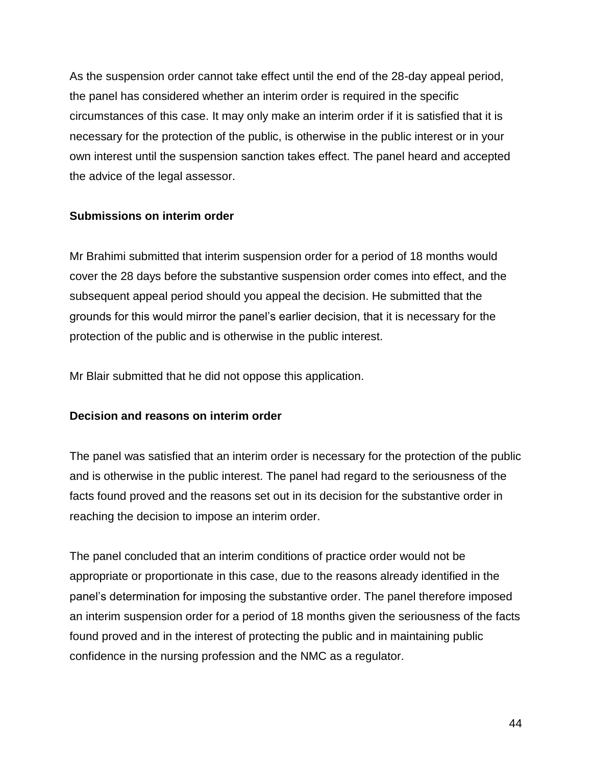As the suspension order cannot take effect until the end of the 28-day appeal period, the panel has considered whether an interim order is required in the specific circumstances of this case. It may only make an interim order if it is satisfied that it is necessary for the protection of the public, is otherwise in the public interest or in your own interest until the suspension sanction takes effect. The panel heard and accepted the advice of the legal assessor.

#### **Submissions on interim order**

Mr Brahimi submitted that interim suspension order for a period of 18 months would cover the 28 days before the substantive suspension order comes into effect, and the subsequent appeal period should you appeal the decision. He submitted that the grounds for this would mirror the panel's earlier decision, that it is necessary for the protection of the public and is otherwise in the public interest.

Mr Blair submitted that he did not oppose this application.

#### **Decision and reasons on interim order**

The panel was satisfied that an interim order is necessary for the protection of the public and is otherwise in the public interest. The panel had regard to the seriousness of the facts found proved and the reasons set out in its decision for the substantive order in reaching the decision to impose an interim order.

The panel concluded that an interim conditions of practice order would not be appropriate or proportionate in this case, due to the reasons already identified in the panel's determination for imposing the substantive order. The panel therefore imposed an interim suspension order for a period of 18 months given the seriousness of the facts found proved and in the interest of protecting the public and in maintaining public confidence in the nursing profession and the NMC as a regulator.